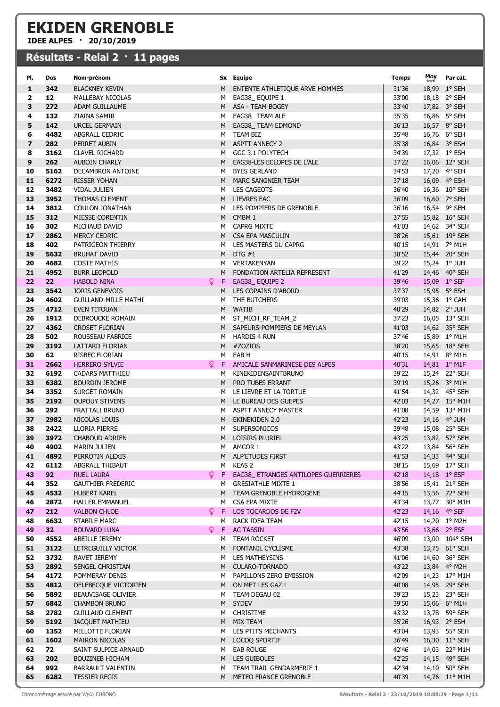## EKIDEN GRENOBLE

IDEE ALPES · 20/10/2019

## Résultats - Relai 2 · 11 pages

| PI.                     | Dos             | Nom-prénom                              |     |        | Sx Equipe                                        | Temps          | Moy Parcat.                    |
|-------------------------|-----------------|-----------------------------------------|-----|--------|--------------------------------------------------|----------------|--------------------------------|
| 1                       | 342             | <b>BLACKNEY KEVIN</b>                   |     | M.     | ENTENTE ATHLETIQUE ARVE HOMMES                   | 31'36          | 18,99 1° SEH                   |
| $\mathbf{2}$            | 12              | MALLEBAY NICOLAS                        |     | M      | EAG38_EQUIPE 1                                   | 33'00          | 18,18 2° SEH                   |
| 3                       | 272             | ADAM GUILLAUME                          |     |        | M ASA - TEAM BOGEY                               | 33'40          | 17,82 3° SEH                   |
| 4                       | 132             | ZIAINA SAMIR                            |     | M      | EAG38 TEAM ALE                                   | 35'35          | 16,86 5° SEH                   |
| 5                       | 142             | URCEL GERMAIN                           |     |        | M EAG38_TEAM EDMOND                              | 36'13          | 16,57 8° SEH                   |
| 6                       | 4482            | ABGRALL CEDRIC                          |     | м      | TEAM BIZ                                         | 35'48          | 16,76 6° SEH                   |
| $\overline{\mathbf{z}}$ | 282             | PERRET AUBIN                            |     | M      | <b>ASPTT ANNECY 2</b>                            | 35'38          | 16,84 3° ESH                   |
| 8                       | 3162            | <b>CLAVEL RICHARD</b>                   |     | M      | GGC 3.1 POLYTECH                                 | 34'39          | 17,32 1° ESH                   |
| 9                       | 262             | <b>AUBOIN CHARLY</b>                    |     |        | M EAG38-LES ECLOPES DE L'ALE                     | 37'22          | 16,06 12° SEH                  |
| 10                      | 5162            | DECAMBRON ANTOINE                       |     | M      | <b>BYES GERLAND</b>                              | 34'53          | 17,20 4° SEH                   |
| 11                      | 6272            | <b>RISSER YOHAN</b>                     |     |        | M MARC SANGNIER TEAM                             | 37'18          | 16,09 4° ESH                   |
| 12                      | 3482            | VIDAL JULIEN                            |     | M      | LES CAGEOTS                                      | 36'40          | 16,36 10° SEH                  |
| 13                      | 3952            | <b>THOMAS CLEMENT</b>                   |     |        | M LIEVRES EAC                                    | 36'09          | 16,60 7° SEH                   |
| 14                      | 3812            | <b>COULON JONATHAN</b>                  |     | M      | LES POMPIERS DE GRENOBLE                         | 36'16          | 16,54 9° SEH                   |
| 15                      | 312             | MIESSE CORENTIN                         |     |        | M CMBM 1                                         | 37'55          | 15,82 16° SEH                  |
| 16                      | 302             | MICHAUD DAVID                           |     |        | M CAPRG MIXTE                                    | 41'03          | 14,62 34° SEH                  |
| 17                      | 2862            | MERCY CEDRIC                            |     |        | M CSA EPA MASCULIN                               | 38'26          | 15,61 19° SEH                  |
| 18                      | 402             | PATRIGEON THIERRY                       |     | M      | LES MASTERS DU CAPRG                             | 40'15          | 14,91 7° M1H                   |
| 19                      | 5632            | <b>BRUHAT DAVID</b>                     |     |        | M DTG $#1$                                       | 38'52          | 15,44 20° SEH                  |
| 20                      | 4682            | <b>COSTE MATHIS</b>                     |     | м      | VERTAKENYAN                                      | 39'22          | 15,24 1° JUH                   |
| 21                      | 4952            | <b>BURR LEOPOLD</b>                     |     |        | M FONDATION ARTELIA REPRESENT                    | 41'29          | 14,46 40° SEH                  |
| 22                      | 22              | <b>HABOLD NINA</b>                      | Q.  | F.     | EAG38_EQUIPE 2                                   | 39'46          | 15,09 1° SEF                   |
| 23                      | 3542            | <b>JORIS GENEVOIS</b>                   |     | M      | LES COPAINS D'ABORD                              | 37'37          | 15,95 5° ESH                   |
| 24                      | 4602            | <b>GUILLAND-MILLE MATHI</b>             |     | M      | THE BUTCHERS                                     | 39'03          | 15,36 1° CAH                   |
| 25                      | 4712            | EVEN TITOUAN                            |     |        | M WATIB                                          | 40'29          | 14,82 2° JUH                   |
| 26                      | 1912            | DEBROUCKE ROMAIN                        |     |        | M ST_MICH_RF_TEAM_2                              | 37'23          | 16,05 13° SEH                  |
| 27                      | 4362            | <b>CROSET FLORIAN</b>                   |     |        | M SAPEURS-POMPIERS DE MEYLAN                     | 41'03          | 14,62 35° SEH                  |
| 28                      | 502             | ROUSSEAU FABRICE                        |     | M      | <b>HARDIS 4 RUN</b>                              | 37'46          | 15,89 1° M1H                   |
| 29                      | 3192            | LATTARD FLORIAN                         |     | M      | #ZOZIOS                                          | 38'20          | 15,65 18° SEH                  |
| 30                      | 62              | RISBEC FLORIAN                          |     | м      | EAB H                                            | 40'15          | 14,91 8° M1H                   |
| 31                      | 2662            | <b>HERRERO SYLVIE</b>                   | Q.  | F.     | AMICALE SANMARINESE DES ALPES                    | 40'31          | 14,81 $1^{\circ}$ M1F          |
| 32<br>33                | 6192<br>6382    | <b>CADARS MATTHIEU</b>                  |     | м      | KINEKIDENSAINTBRUNO                              | 39'22          | 15,24 22° SEH                  |
|                         |                 | <b>BOURDIN JEROME</b>                   |     | M      | PRO TUBES ERRANT                                 | 39'19          | 15,26 3° M1H                   |
| 34<br>35                | 3352<br>2192    | SURGET ROMAIN                           |     | M      | LE LIEVRE ET LA TORTUE<br>M LE BUREAU DES GUEPES | 41'54<br>42'03 | 14,32 45° SEH                  |
| 36                      | 292             | <b>DUPOUY STIVENS</b><br>FRATTALI BRUNO |     |        | ASPTT ANNECY MASTER                              | 41'08          | 14,27 15° M1H<br>14,59 13° M1H |
| 37                      | 2982            | NICOLAS LOUIS                           |     | M<br>M | EKINEKIDEN 2.0                                   | 42'23          | 14,16 4° JUH                   |
| 38                      | 2422            | LLORIA PIERRE                           |     | M      | <b>SUPERSONICOS</b>                              | 39'48          | 15,08 25° SEH                  |
| 39                      | 3972            | <b>CHABOUD ADRIEN</b>                   |     |        | M LOISIRS PLURIEL                                | 43'25          | 13,82 57° SEH                  |
| 40                      | 4902            | <b>MARIN JULIEN</b>                     |     | Μ      | AMCOR 1                                          | 43'22          | 13,84 56° SEH                  |
| 41                      | 4892            | PERROTIN ALEXIS                         |     |        | M ALP'ETUDES FIRST                               | 41'53          | 14,33 44° SEH                  |
| 42                      | 6112            | ABGRALL THIBAUT                         |     | M      | KEAS 2                                           | 38'15          | 15,69 17° SEH                  |
| 43                      | 92              | <b>RUEL LAURA</b>                       | Q F |        | EAG38_ ETRANGES ANTILOPES GUERRIERES             | 42'18          | 14,18 1° ESF                   |
| 44                      | 352             | <b>GAUTHIER FREDERIC</b>                |     |        | M GRESIATHLE MIXTE 1                             | 38'56          | 15,41 21° SEH                  |
| 45                      | 4532            | <b>HUBERT KAREL</b>                     |     |        | M TEAM GRENOBLE HYDROGENE                        | 44'15          | 13,56 72° SEH                  |
| 46                      | 2872            | <b>HALLER EMMANUEL</b>                  |     | M      | CSA EPA MIXTE                                    | 43'34          | 13,77 30° M1H                  |
| 47                      | 212             | <b>VALBON CHLOE</b>                     | Q.  |        | F LOS TOCARDOS DE F2V                            | 42'23          | 14,16 4° SEF                   |
| 48                      | 6632            | STABILE MARC                            |     |        | M RACK IDEA TEAM                                 | 42'15          | 14,20 1° M2H                   |
| 49                      | 32 <sub>2</sub> | <b>BOUVARD LUNA</b>                     |     |        | <b>Q</b> F AC TASSIN                             | 43'56          | 13,66 2° ESF                   |
| 50                      | 4552            | ABEILLE JEREMY                          |     |        | M TEAM ROCKET                                    | 46'09          | 13,00 104° SEH                 |
| 51                      | 3122            | LETREGUILLY VICTOR                      |     |        | M FONTANIL CYCLISME                              | 43'38          | 13,75 61° SEH                  |
| 52                      | 3732            | RAVET JEREMY                            |     | M      | LES MATHEYSINS                                   | 41'06          | 14,60 36° SEH                  |
| 53                      | 2892            | SENGEL CHRISTIAN                        |     |        | M CULARO-TORNADO                                 | 43'22          | 13,84 4° M2H                   |
| 54                      | 4172            | POMMERAY DENIS                          |     | M      | PAPILLONS ZERO EMISSION                          | 42'09          | 14,23 17° M1H                  |
| 55                      | 4812            | DELEBECQUE VICTORIEN                    |     |        | M ON MET LES GAZ !                               | 40'08          | 14,95 29° SEH                  |
| 56                      | 5892            | BEAUVISAGE OLIVIER                      |     | м      | TEAM DEGAU 02                                    | 39'23          | 15,23 23° SEH                  |
| 57                      | 6842            | <b>CHAMBON BRUNO</b>                    |     |        | M SYDEV                                          | 39'50          | 15,06 6° M1H                   |
| 58                      | 2782            | <b>GUILLAUD CLEMENT</b>                 |     | M      | <b>CHRISTIME</b>                                 | 43'32          | 13,78 59° SEH                  |
| 59                      | 5192            | JACQUET MATHIEU                         |     |        | M MIX TEAM                                       | 35'26          | 16,93 2° ESH                   |
| 60                      | 1352            | MILLOTTE FLORIAN                        |     |        | M LES PTITS MECHANTS                             | 43'04          | 13,93 55° SEH                  |
| 61                      | 1602            | <b>MAIRON NICOLAS</b>                   |     |        | M LOCOQ SPORTIF                                  | 36'49          | 16,30 11° SEH                  |
| 62                      | 72              | SAINT SULPICE ARNAUD                    |     |        | M EAB ROUGE                                      | 42'46          | 14,03 22° M1H                  |
| 63                      | 202             | <b>BOUZINEB HICHAM</b>                  |     |        | M LES GUIBOLES                                   | 42'25          | 14,15 49° SEH                  |
| 64                      | 992             | <b>BARRAULT VALENTIN</b>                |     | M      | TEAM TRAIL GENDARMERIE 1                         | 42'34          | 14,10 50° SEH                  |
| 65                      | 6282            | <b>TESSIER REGIS</b>                    |     |        | M METEO FRANCE GRENOBLE                          | 40'39          | 14,76 11° M1H                  |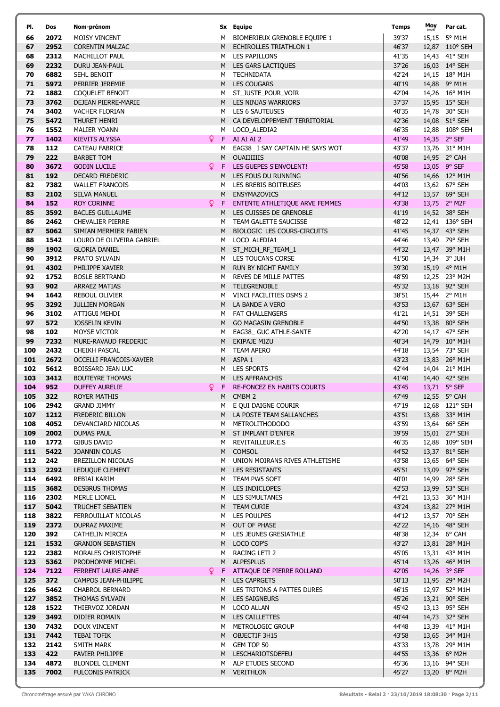| PI.        | Dos          | Nom-prénom                                        |    |        | Sx Equipe                                             | <b>Temps</b>   | Moy | Par cat.                       |
|------------|--------------|---------------------------------------------------|----|--------|-------------------------------------------------------|----------------|-----|--------------------------------|
| 66         | 2072         | <b>MOISY VINCENT</b>                              |    | м      | BIOMERIEUX GRENOBLE EQUIPE 1                          | 39'37          |     | 15,15 5° M1H                   |
| 67         | 2952         | <b>CORENTIN MALZAC</b>                            |    |        | M ECHIROLLES TRIATHLON 1                              | 46'37          |     | 12,87 110° SEH                 |
| 68         | 2312         | MACHILLOT PAUL                                    |    |        | M LES PAPILLONS                                       | 41'35          |     | 14,43 41° SEH                  |
| 69         | 2232         | DURU JEAN-PAUL                                    |    |        | M LES GARS LACTIQUES                                  | 37'26          |     | 16,03 14° SEH                  |
| 70         | 6882         | <b>SEHL BENOIT</b>                                |    | M      | <b>TECHNIDATA</b>                                     | 42'24          |     | 14,15 18° M1H                  |
| 71<br>72   | 5972<br>1882 | PERRIER JEREMIE                                   |    | M      | <b>LES COUGARS</b><br>ST_JUSTE_POUR_VOIR              | 40'19<br>42'04 |     | 14,88 9° M1H<br>14,26 16° M1H  |
| 73         | 3762         | COQUELET BENOIT<br>DEJEAN PIERRE-MARIE            |    | M      | M LES NINJAS WARRIORS                                 | 37'37          |     | 15,95 15° SEH                  |
| 74         | 3402         | <b>VACHER FLORIAN</b>                             |    |        | M LES 6 SAUTEUSES                                     | 40'35          |     | 14,78 30° SEH                  |
| 75         | 5472         | THURET HENRI                                      |    |        | M CA DEVELOPPEMENT TERRITORIAL                        | 42'36          |     | 14,08 51° SEH                  |
| 76         | 1552         | <b>MALIER YOANN</b>                               |    | M      | LOCO_ALEDIA2                                          | 46'35          |     | 12,88 108° SEH                 |
| 77         | 1402         | KIEVITS ALYSSA                                    | Q. | F.     | AI AI AI 2                                            | 41'49          |     | 14,35 2° SEF                   |
| 78         | 112          | CATEAU FABRICE                                    |    | м      | EAG38_ I SAY CAPTAIN HE SAYS WOT                      | 43'37          |     | 13,76 31° M1H                  |
| 79         | 222          | <b>BARBET TOM</b>                                 |    | M      | <b>OUAIIIIIIIS</b>                                    | 40'08          |     | 14,95 2° CAH                   |
| 80         | 3672         | <b>GODIN LUCILE</b>                               | Q. | F      | LES GUEPES S'ENVOLENT!                                | 45'58          |     | 13,05 9° SEF                   |
| 81         | 192          | DECARD FREDERIC                                   |    | M      | LES FOUS DU RUNNING                                   | 40'56          |     | 14,66 12° M1H                  |
| 82         | 7382         | <b>WALLET FRANCOIS</b>                            |    | м      | LES BREBIS BOITEUSES                                  | 44'03          |     | 13,62 67° SEH                  |
| 83<br>84   | 2102<br>152  | <b>SELVA MANUEL</b><br><b>ROY CORINNE</b>         | Q. | M<br>F | <b>ENSYMAZOVICS</b><br>ENTENTE ATHLETIQUE ARVE FEMMES | 44'12<br>43'38 |     | 13,57 69° SEH<br>13,75 2° M2F  |
| 85         | 3592         | <b>BACLES GUILLAUME</b>                           |    | M      | LES CUISSES DE GRENOBLE                               | 41'19          |     | 14,52 38° SEH                  |
| 86         | 2462         | <b>CHEVALIER PIERRE</b>                           |    | M      | TEAM GALETTE SAUCISSE                                 | 48'22          |     | 12,41 136° SEH                 |
| 87         | 5062         | SIMIAN MERMIER FABIEN                             |    | M      | BIOLOGIC_LES COURS-CIRCUITS                           | 41'45          |     | 14,37 43° SEH                  |
| 88         | 1542         | LOURO DE OLIVEIRA GABRIEL                         |    | M      | LOCO_ALEDIA1                                          | 44'46          |     | 13,40 79° SEH                  |
| 89         | 1902         | <b>GLORIA DANIEL</b>                              |    |        | M ST_MICH_RF_TEAM_1                                   | 44'32          |     | 13,47 39° M1H                  |
| 90         | 3912         | PRATO SYLVAIN                                     |    | M      | LES TOUCANS CORSE                                     | 41'50          |     | 14,34 3° JUH                   |
| 91         | 4302         | PHILIPPE XAVIER                                   |    |        | M RUN BY NIGHT FAMILY                                 | 39'30          |     | 15,19 4° M1H                   |
| 92         | 1752         | <b>BOSLE BERTRAND</b>                             |    | M      | REVES DE MILLE PATTES                                 | 48'59          |     | 12,25 23° M2H                  |
| 93         | 902          | <b>ARRAEZ MATIAS</b>                              |    |        | M TELEGRENOBLE                                        | 45'32          |     | 13,18 92° SEH                  |
| 94<br>95   | 1642<br>3292 | <b>REBOUL OLIVIER</b><br><b>JULLIEN MORGAN</b>    |    | M<br>M | VINCI FACILITIES DSMS 2<br>LA BANDE A VERO            | 38'51<br>43'53 |     | 15,44 2° M1H                   |
| 96         | 3102         | ATTIGUI MEHDI                                     |    | M      | <b>FAT CHALLENGERS</b>                                | 41'21          |     | 13,67 63° SEH<br>14,51 39° SEH |
| 97         | 572          | <b>JOSSELIN KEVIN</b>                             |    | M      | <b>GO MAGASIN GRENOBLE</b>                            | 44'50          |     | 13,38 80° SEH                  |
| 98         | 102          | MOYSE VICTOR                                      |    | M      | EAG38_ GUC ATHLE-SANTE                                | 42'20          |     | 14,17 47° SEH                  |
| 99         | 7232         | MURE-RAVAUD FREDERIC                              |    | M      | EKIPAJE MIZU                                          | 40'34          |     | 14,79 10° M1H                  |
| 100        | 2432         | <b>CHEIKH PASCAL</b>                              |    | M      | <b>TEAM APERO</b>                                     | 44'18          |     | 13,54 73° SEH                  |
| 101        | 2672         | OCCELLI FRANCOIS-XAVIER                           |    | M      | ASPA 1                                                | 43'23          |     | 13,83 26° M1H                  |
| 102        | 5612         | BOISSARD JEAN LUC                                 |    | м      | <b>LES SPORTS</b>                                     | 42'44          |     | 14,04 21° M1H                  |
| 103        | 3412         | <b>BOUTEYRE THOMAS</b>                            |    |        | M LES AFFRANCHIS                                      | 41'40          |     | 14,40 42° SEH                  |
| 104        | 952          | <b>DUFFEY AURELIE</b>                             | Q. | F.     | <b>RE-FONCEZ EN HABITS COURTS</b>                     | 43'45          |     | 13,71 5° SEF                   |
| 105<br>106 | 322          | ROYER MATHIS                                      |    | M      | CMBM 2<br>M E QUI DAIGNE COURIR                       | 47'49<br>47'19 |     | 12,55 5° CAH<br>12,68 121° SEH |
| 107        | 2942<br>1212 | <b>GRAND JIMMY</b><br>FREDERIC BILLON             |    |        | M LA POSTE TEAM SALLANCHES                            | 43'51          |     | 13,68 33° M1H                  |
| 108        | 4052         | DEVANCIARD NICOLAS                                |    |        | M METROLITHODODO                                      | 43'59          |     | 13,64 66° SEH                  |
| 109        | 2002         | <b>DUMAS PAUL</b>                                 |    |        | M ST IMPLANT D'ENFER                                  | 39'59          |     | 15,01 27° SEH                  |
| 110        | 1772         | <b>GIBUS DAVID</b>                                |    | M      | REVITAILLEUR.E.S                                      | 46'35          |     | 12,88 109° SEH                 |
| 111        | 5422         | JOANNIN COLAS                                     |    |        | M COMSOL                                              | 44'52          |     | 13,37 81° SEH                  |
| 112        | 242          | BREZILLON NICOLAS                                 |    |        | M UNION MOIRANS RIVES ATHLETISME                      | 43'58          |     | 13,65 64° SEH                  |
| 113        | 2292         | LEDUQUE CLEMENT                                   |    |        | M LES RESISTANTS                                      | 45'51          |     | 13,09 97° SEH                  |
| 114<br>115 | 6492<br>3682 | REBIAI KARIM                                      |    |        | M TEAM PW5 SOFT<br>M LES INDICLOPES                   | 40'01<br>42'53 |     | 14,99 28° SEH                  |
| 116        | 2302         | <b>DESBRUS THOMAS</b><br>MERLE LIONEL             |    |        | M LES SIMULTANES                                      | 44'21          |     | 13,99 53° SEH<br>13,53 36° M1H |
| 117        | 5042         | TRUCHET SEBATIEN                                  |    |        | M TEAM CURIE                                          | 43'24          |     | 13,82 27° M1H                  |
| 118        | 3822         | FERROUILLAT NICOLAS                               |    |        | M LES POULPES                                         | 44'12          |     | 13,57 70° SEH                  |
| 119        | 2372         | DUPRAZ MAXIME                                     |    |        | M OUT OF PHASE                                        | 42'22          |     | 14,16 48° SEH                  |
| 120        | 392          | CATHELIN MIRCEA                                   |    |        | M LES JEUNES GRESIATHLE                               | 48'38          |     | 12,34 6° CAH                   |
| 121        | 1532         | <b>GRANJON SEBASTIEN</b>                          |    |        | M LOCO COP'S                                          | 43'27          |     | 13,81 28° M1H                  |
| 122        | 2382         | MORALES CHRISTOPHE                                |    |        | M RACING LETI 2                                       | 45'05          |     | 13,31 43° M1H                  |
| 123        | 5362         | PRODHOMME MICHEL                                  |    |        | M ALPESPLUS                                           | 45'14          |     | 13,26 46° M1H                  |
| 124        | 7122         | <b>FERRENT LAURE-ANNE</b>                         | Q. |        | F ATTAQUE DE PIERRE ROLLAND                           | 42'05          |     | 14,26 3° SEF                   |
| 125<br>126 | 372<br>5462  | CAMPOS JEAN-PHILIPPE<br><b>CHABROL BERNARD</b>    |    |        | M LES CAPRGETS<br>M LES TRITONS A PATTES DURES        | 50'13<br>46'15 |     | 11,95 29° M2H<br>12,97 52° M1H |
| 127        | 3852         | THOMAS SYLVAIN                                    |    |        | M LES SAIGNEURS                                       | 45'26          |     | 13,21 90° SEH                  |
| 128        | 1522         | THIERVOZ JORDAN                                   |    | M      | <b>LOCO ALLAN</b>                                     | 45'42          |     | 13,13 95° SEH                  |
| 129        | 3492         | DIDIER ROMAIN                                     |    |        | M LES CAILLETTES                                      | 40'44          |     | 14,73 32° SEH                  |
| 130        | 7432         | DOUX VINCENT                                      |    |        | M METROLOGIC GROUP                                    | 44'48          |     | 13,39 41° M1H                  |
| 131        | 7442         | <b>TEBAI TOFIK</b>                                |    |        | M OBJECTIF 3H15                                       | 43'58          |     | 13,65 34° M1H                  |
| 132        | 2142         | SMITH MARK                                        |    |        | M GEM TOP 50                                          | 43'33          |     | 13,78 29° M1H                  |
| 133        | 422          | <b>FAVIER PHILIPPE</b>                            |    |        | M LESCHARIOTSDEFEU                                    | 44'55          |     | 13,36 6° M2H                   |
| 134<br>135 | 4872<br>7002 | <b>BLONDEL CLEMENT</b><br><b>FULCONIS PATRICK</b> |    |        | M ALP ETUDES SECOND<br>M VERITHLON                    | 45'36<br>45'27 |     | 13,16 94° SEH                  |
|            |              |                                                   |    |        |                                                       |                |     | 13,20 8° M2H                   |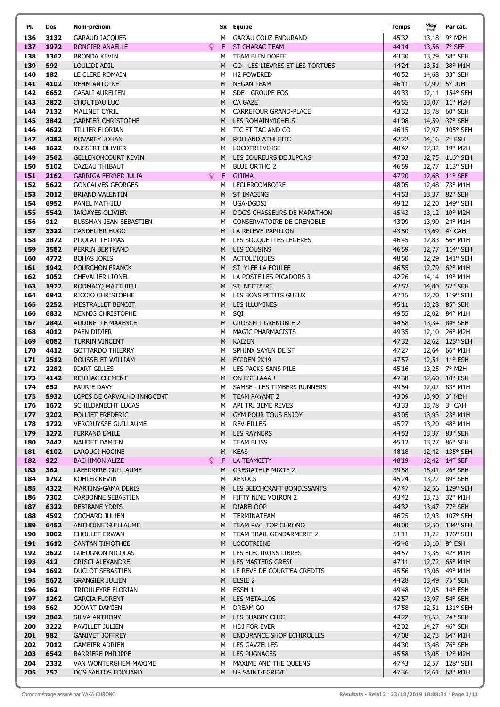| PI.        | Dos          | Nom-prénom                                             |                   | Sx Equipe                                     | Temps          | Moy | Par cat.                        |
|------------|--------------|--------------------------------------------------------|-------------------|-----------------------------------------------|----------------|-----|---------------------------------|
| 136        | 3132         | <b>GARAUD JACQUES</b>                                  | м                 | <b>GAR'AU COUZ ENDURAND</b>                   | 45'32          |     | 13,18 9° M2H                    |
| 137        | 1972         | RONGIER ANAELLE                                        | $\mathbf{Q}$<br>F | <b>ST CHARAC TEAM</b>                         | 44'14          |     | 13,56 7° SEF                    |
| 138        | 1362         | <b>BRONDA KEVIN</b>                                    | м                 | TEAM BIEN DOPEE                               | 43'30          |     | 13,79 58° SEH                   |
| 139        | 592          | LOULIDI ADIL                                           | M                 | GO - LES LIEVRES ET LES TORTUES               | 44'24          |     | 13,51 38° M1H                   |
| 140        | 182          | LE CLERE ROMAIN                                        | M                 | H <sub>2</sub> POWERED                        | 40'52          |     | 14,68 33° SEH                   |
| 141<br>142 | 4102         | <b>REHM ANTOINE</b>                                    | M                 | <b>NEGAN TEAM</b>                             | 46'11          |     | 12,99 5° JUH                    |
| 143        | 6652<br>2822 | CASALI AURELIEN<br>CHOUTEAU LUC                        | M<br>M            | SDE- GROUPE EOS<br>CA GAZE                    | 49'33<br>45'55 |     | 12,11 154° SEH<br>13,07 11° M2H |
| 144        | 7132         | <b>MALINET CYRIL</b>                                   | M                 | <b>CARREFOUR GRAND-PLACE</b>                  | 43'32          |     | 13,78 60° SEH                   |
| 145        | 3842         | <b>GARNIER CHRISTOPHE</b>                              |                   | M LES ROMAINMICHELS                           | 41'08          |     | 14,59 37° SEH                   |
| 146        | 4622         | <b>TILLIER FLORIAN</b>                                 | м                 | TIC ET TAC AND CO                             | 46'15          |     | 12,97 105° SEH                  |
| 147        | 4282         | ROVAREY JOHAN                                          | M                 | ROLLAND ATHLETIC                              | 42'22          |     | 14,16 7° ESH                    |
| 148        | 1622         | <b>DUSSERT OLIVIER</b>                                 | м                 | LOCOTRIEVOISE                                 | 48'42          |     | 12,32 19° M2H                   |
| 149        | 3562         | <b>GELLENONCOURT KEVIN</b>                             | M                 | LES COUREURS DE JUPONS                        | 47'03          |     | 12,75 116° SEH                  |
| 150        | 5102         | CAZEAU THIBAUT                                         | м                 | <b>BLUE ORTHO 2</b>                           | 46'59          |     | 12,77 113° SEH                  |
| 151        | 2162         | <b>GARRIGA FERRER JULIA</b>                            | Q.<br>F.          | <b>GIJIMA</b>                                 | 47'20          |     | 12,68 11° SEF                   |
| 152        | 5622         | <b>GONCALVES GEORGES</b>                               | м                 | LECLERCOMBOIRE                                | 48'05          |     | 12,48 73° M1H                   |
| 153<br>154 | 2012         | <b>BRIAND VALENTIN</b>                                 | M                 | <b>ST IMAGING</b>                             | 44'53          |     | 13,37 82° SEH<br>12,20 149° SEH |
| 155        | 6952<br>5542 | PANEL MATHIEU<br><b>JARJAYES OLIVIER</b>               | M                 | UGA-DGDSI<br>M DOC'S CHASSEURS DE MARATHON    | 49'12<br>45'43 |     | 13,12 10° M2H                   |
| 156        | 912          | BUSSMAN JEAN-SEBASTIEN                                 |                   | M CONSERVATOIRE DE GRENOBLE                   | 43'09          |     | 13,90 24° M1H                   |
| 157        | 3322         | <b>CANDELIER HUGO</b>                                  |                   | M LA RELEVE PAPILLON                          | 43'50          |     | 13,69 4° CAH                    |
| 158        | 3872         | PIJOLAT THOMAS                                         | M                 | LES SOCQUETTES LEGERES                        | 46'45          |     | 12,83 56° M1H                   |
| 159        | 3582         | PERRIN BERTRAND                                        |                   | M LES COUSINS                                 | 46'59          |     | 12,77 114° SEH                  |
| 160        | 4772         | <b>BOHAS JORIS</b>                                     | M                 | <b>ACTOLL'IQUES</b>                           | 48'50          |     | 12,29 141° SEH                  |
| 161        | 1942         | POURCHON FRANCK                                        |                   | M ST_YLEE LA FOULEE                           | 46'55          |     | 12,79 62° M1H                   |
| 162        | 1052         | <b>CHEVALIER LIONEL</b>                                |                   | M LA POSTE LES PICADORS 3                     | 42'26          |     | 14,14 19° M1H                   |
| 163        | 1922         | RODMACQ MATTHIEU                                       |                   | M ST_NECTAIRE                                 | 42'52          |     | 14,00 52° SEH                   |
| 164        | 6942         | RICCIO CHRISTOPHE                                      | M                 | LES BONS PETITS GUEUX                         | 47'15          |     | 12,70 119° SEH                  |
| 165<br>166 | 2252<br>6832 | MESTRALLET BENOIT<br>NENNIG CHRISTOPHE                 | M<br>М            | LES ILLUMINES<br>SQI                          | 45'11<br>49'55 |     | 13,28 85° SEH<br>12,02 84° M1H  |
| 167        | 2842         | <b>AUDINETTE MAXENCE</b>                               |                   | M CROSSFIT GRENOBLE 2                         | 44'58          |     | 13,34 84° SEH                   |
| 168        | 4012         | PAEN DIDIER                                            | M                 | <b>MAGIC PHARMACISTS</b>                      | 49'35          |     | 12,10 26° M2H                   |
| 169        | 6082         | <b>TURRIN VINCENT</b>                                  | M                 | <b>KAIZEN</b>                                 | 47'32          |     | 12,62 125° SEH                  |
| 170        | 4412         | <b>GOTTARDO THIERRY</b>                                | M                 | SPHINX SAYEN DE ST                            | 47'27          |     | 12,64 66° M1H                   |
| 171        | 2512         | ROUSSELET WILLIAM                                      | M                 | EGIDEN 2K19                                   | 47'57          |     | 12,51 11° ESH                   |
| 172        | 2282         | <b>ICART GILLES</b>                                    | M                 | LES PACKS SANS PILE                           | 45'16          |     | 13,25 7° M2H                    |
| 173        | 4142         | REILHAC CLEMENT                                        | M                 | ON EST LAAA !                                 | 47'38          |     | 12,60 10° ESH                   |
| 174        | 652          | <b>FAURIE DAVY</b>                                     | м                 | SAMSE - LES TIMBERS RUNNERS                   | 49'54          |     | 12,02 83° M1H                   |
| 175        | 5932         | LOPES DE CARVALHO INNOCENT                             |                   | M TEAM PAYANT 2                               | 43'09          |     | 13,90 3° M2H                    |
| 176<br>177 | 1672<br>3202 | SCHILDKNECHT LUCAS                                     |                   | M API TRI 3EME REVES<br>M GYM POUR TOUS ENJOY | 43'33<br>43'05 |     | 13,78 3° CAH                    |
| 178        | 1722         | <b>FOLLIET FREDERIC</b><br><b>VERCRUYSSE GUILLAUME</b> |                   | M REV-EILLES                                  | 45'27          |     | 13,93 23° M1H<br>13,20 48° M1H  |
| 179        | 1272         | FERRAND EMILE                                          |                   | M LES RAYNERS                                 | 44'53          |     | 13,37 83° SEH                   |
| 180        | 2442         | NAUDET DAMIEN                                          | м                 | <b>TEAM BLISS</b>                             | 45'12          |     | 13,27 86° SEH                   |
| 181        | 6102         | LAROUCI HOCINE                                         | M                 | <b>KEAS</b>                                   | 48'18          |     | 12,42 135° SEH                  |
| 182        | 922          | <b>BACHIMON ALIZE</b>                                  | Q.<br>F.          | LA TEAMCITY                                   | 48'19          |     | 12,42 14° SEF                   |
| 183        | 362          | LAFERRERE GUILLAUME                                    | м                 | <b>GRESIATHLE MIXTE 2</b>                     | 39'58          |     | 15,01 26° SEH                   |
| 184        | 1792         | KOHLER KEVIN                                           |                   | M XENOCS                                      | 45'24          |     | 13,22 89° SEH                   |
| 185        | 4322         | MARTINS-GAMA DENIS                                     |                   | M LES BEECHCRAFT BONDISSANTS                  | 47'47          |     | 12,56 129° SEH                  |
| 186        | 7302         | CARBONNE SEBASTIEN                                     | M                 | FIFTY NINE VOIRON 2                           | 43'42<br>44'32 |     | 13,73 32° M1H                   |
| 187<br>188 | 6322<br>4592 | <b>REBIBANE YDRIS</b><br><b>COCHARD JULIEN</b>         |                   | M DIABELOOP<br>M TERMINATEAM                  | 46'25          |     | 13,47 77° SEH<br>12,93 107° SEH |
| 189        | 6452         | ANTHOINE GUILLAUME                                     |                   | M TEAM PW1 TOP CHRONO                         | 48'00          |     | 12,50 134° SEH                  |
| 190        | 1002         | <b>CHOULET ERWAN</b>                                   |                   | M TEAM TRAIL GENDARMERIE 2                    | 51'11          |     | 11,72 176° SEH                  |
| 191        | 1612         | <b>CANTAN TIMOTHEE</b>                                 |                   | M LOCOTRIENE                                  | 45'48          |     | 13,10 8° ESH                    |
| 192        | 3622         | <b>GUEUGNON NICOLAS</b>                                |                   | M LES ELECTRONS LIBRES                        | 44'57          |     | 13,35 42° M1H                   |
| 193        | 412          | CRISCI ALEXANDRE                                       |                   | M LES MASTERS GRESI                           | 47'11          |     | 12,72 65° M1H                   |
| 194        | 1692         | DUCLOT SEBASTIEN                                       |                   | M LE REVE DE COURT'EA CREDITS                 | 45'56          |     | 13,06 49° M1H                   |
| 195        | 5672         | <b>GRANGIER JULIEN</b>                                 |                   | M ELSIE 2                                     | 44'28          |     | 13,49 75° SEH                   |
| 196        | 162          | TRIOULEYRE FLORIAN                                     |                   | M ESSM 1                                      | 49'48          |     | 12,05 14° ESH                   |
| 197        | 1262         | <b>GARCIA FLORENT</b>                                  |                   | M LES METALLOS                                | 42'57          |     | 13,97 54° SEH                   |
| 198<br>199 | 562<br>3862  | JODART DAMIEN<br>SILVA ANTHONY                         |                   | M DREAM GO<br>M LES SHABBY CHIC               | 47'58<br>44'22 |     | 12,51 131° SEH<br>13,52 74° SEH |
| 200        | 3222         | PAVILLET JULIEN                                        |                   | M HDJ FOR EVER                                | 42'02          |     | 14,27 46° SEH                   |
| 201        | 982          | <b>GANIVET JOFFREY</b>                                 |                   | M ENDURANCE SHOP ECHIROLLES                   | 47'08          |     | 12,73 64° M1H                   |
| 202        | 7012         | <b>GAMBIER ADRIEN</b>                                  |                   | M LES GAVZELLES                               | 44'30          |     | 13,48 76° SEH                   |
| 203        | 6542         | <b>BARRIERE PHILIPPE</b>                               |                   | M LES PUGNACES                                | 45'58          |     | 13,05 12° M2H                   |
| 204        | 2332         | VAN WONTERGHEM MAXIME                                  |                   | M MAXIME AND THE QUEENS                       | 47'43          |     | 12,57 128° SEH                  |
| 205        | 252          | DOS SANTOS EDOUARD                                     |                   | M US SAINT-EGREVE                             | 47'36          |     | 12,61 68° M1H                   |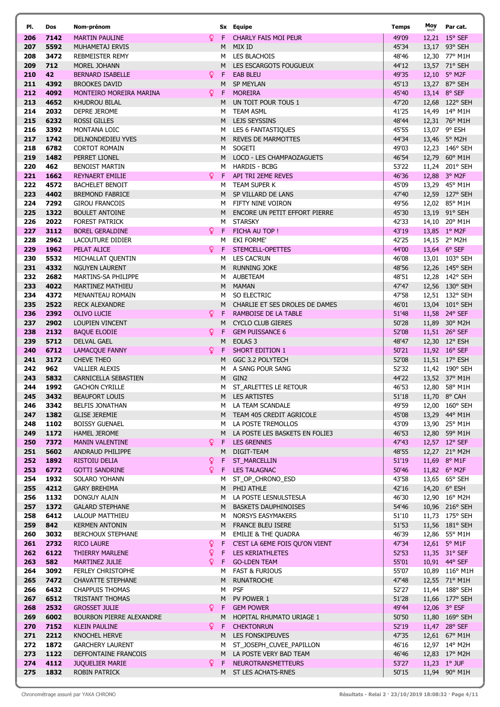|            | Dos          | Nom-prénom                                         |     |        | Sx Equipe                                            | Temps          | Moy | Par cat.                         |
|------------|--------------|----------------------------------------------------|-----|--------|------------------------------------------------------|----------------|-----|----------------------------------|
| 206        | 7142         | <b>MARTIN PAULINE</b>                              | Q.  | -F     | <b>CHARLY FAIS MOI PEUR</b>                          | 49'09          |     | 12,21 15° SEF                    |
| 207        | 5592         | MUHAMETAJ ERVIS                                    |     | M      | MIX ID                                               | 45'34          |     | 13,17 93° SEH                    |
| 208        | 3472         | <b>REBMEISTER REMY</b>                             |     | м      | LES BLACHOIS                                         | 48'46          |     | 12,30 77° M1H                    |
| 209        | 712          | MOREL JOHANN                                       |     | M      | LES ESCARGOTS FOUGUEUX                               | 44'12          |     | 13,57 71° SEH                    |
| 210        | 42           | <b>BERNARD ISABELLE</b>                            | Q.  | F      | <b>EAB BLEU</b>                                      | 49'35          |     | 12,10 5° M2F                     |
| 211        | 4392         | <b>BROOKES DAVID</b>                               |     | M      | <b>SP MEYLAN</b>                                     | 45'13          |     | 13,27 87° SEH                    |
| 212        | 4092         | MONTEIRO MOREIRA MARINA                            | Q.  | F.     | <b>MOREIRA</b>                                       | 45'40          |     | 13,14 8° SEF                     |
| 213        | 4652         | KHUDROU BILAL                                      |     | M      | UN TOIT POUR TOUS 1                                  | 47'20          |     | 12,68 122° SEH                   |
| 214        | 2032         | DEPRE JEROME                                       |     | M      | <b>TEAM ASML</b>                                     | 41'25          |     | 14,49 14° M1H                    |
| 215        | 6232         | <b>ROSSI GILLES</b>                                |     | M      | LEJS SEYSSINS                                        | 48'44          |     | 12,31 76° M1H                    |
| 216        | 3392         | MONTANA LOIC                                       |     | M      | LES 6 FANTASTIQUES                                   | 45'55          |     | 13,07 9° ESH                     |
| 217        | 1742         | <b>DELNONDEDIEU YVES</b>                           |     | M      | <b>REVES DE MARMOTTES</b>                            | 44'34          |     | 13,46 5° M2H                     |
| 218        | 6782         | <b>CORTOT ROMAIN</b>                               |     | M      | SOGETI                                               | 49'03          |     | 12,23 146° SEH                   |
| 219        | 1482         | PERRET LIONEL                                      |     | M      | LOCO - LES CHAMPAOZAGUETS                            | 46'54          |     | 12,79 60° M1H                    |
| 220        | 462          | <b>BENOIST MARTIN</b>                              |     | м      | <b>HARDIS - BCBG</b>                                 | 53'22          |     | 11,24 201° SEH                   |
| 221        | 1662         | <b>REYNAERT EMILIE</b>                             | Q.  | F      | API TRI 2EME REVES                                   | 46'36          |     | 12,88 3° M2F                     |
| 222        | 4572         | <b>BACHELET BENOIT</b>                             |     | м      | TEAM SUPER K                                         | 45'09          |     | 13,29 45° M1H                    |
| 223        | 4402         | <b>BREMOND FABRICE</b>                             |     | M      | SP VILLARD DE LANS                                   | 47'40          |     | 12,59 127° SEH                   |
| 224        | 7292         | <b>GIROU FRANCOIS</b>                              |     | M      | FIFTY NINE VOIRON                                    | 49'56          |     | 12,02 85° M1H                    |
| 225        | 1322         | <b>BOULET ANTOINE</b>                              |     | M      | ENCORE UN PETIT EFFORT PIERRE                        | 45'30          |     | 13,19 91° SEH                    |
| 226        | 2022         | <b>FOREST PATRICK</b>                              |     | м      | <b>STARSKY</b>                                       | 42'33          |     | 14,10 20° M1H                    |
| 227        | 3112         | <b>BOREL GERALDINE</b>                             | Q.  | F.     | FICHA AU TOP !                                       | 43'19          |     | 13,85 1° M2F                     |
| 228        | 2962         | LACOUTURE DIDIER                                   |     | м      | EKI FORME'                                           | 42'25          |     | 14,15 2° M2H                     |
| 229        | 1962         | PELAT ALICE                                        | Q F |        | STEMCELL-OPETTES                                     | 44'00          |     | 13,64 6° SEF                     |
| 230<br>231 | 5532<br>4332 | MICHALLAT QUENTIN                                  |     | M      | LES CAC'RUN                                          | 46'08          |     | 13,01 103° SEH                   |
| 232        | 2682         | <b>NGUYEN LAURENT</b><br>MARTINS-SA PHILIPPE       |     | M      | <b>RUNNING JOKE</b><br><b>AUBETEAM</b>               | 48'56<br>48'51 |     | 12,26 145° SEH<br>12,28 142° SEH |
| 233        | 4022         | MARTINEZ MATHIEU                                   |     | M<br>M | <b>MAMAN</b>                                         | 47'47          |     | 12,56 130° SEH                   |
| 234        | 4372         | MENANTEAU ROMAIN                                   |     | M      | SO ELECTRIC                                          | 47'58          |     | 12,51 132° SEH                   |
| 235        | 2522         | <b>RECK ALEXANDRE</b>                              |     | M      | CHARLIE ET SES DROLES DE DAMES                       | 46'01          |     | 13,04 101° SEH                   |
| 236        | 2392         | <b>OLIVO LUCIE</b>                                 | Q.  | F.     | RAMBOISE DE LA TABLE                                 | 51'48          |     | 11,58 24° SEF                    |
| 237        | 2902         | LOUPIEN VINCENT                                    |     | M      | <b>CYCLO CLUB GIERES</b>                             | 50'28          |     | 11,89 30° M2H                    |
| 238        | 2132         | <b>BAQUE ELODIE</b>                                | Q.  | F      | <b>GEM PUISSANCE 6</b>                               | 52'08          |     | 11,51 26° SEF                    |
| 239        | 5712         | <b>DELVAL GAEL</b>                                 |     | M      | EOLAS <sub>3</sub>                                   | 48'47          |     | 12,30 12° ESH                    |
| 240        | 6712         | <b>LAMACQUE FANNY</b>                              | Q.  | -F     | <b>SHORT EDITION 1</b>                               | 50'21          |     | 11,92 16° SEF                    |
| 241        | 3172         | <b>CHEVE THEO</b>                                  |     | M      | GGC 3.2 POLYTECH                                     | 52'08          |     | 11,51 17° ESH                    |
| 242        | 962          | <b>VALLIER ALEXIS</b>                              |     | м      | A SANG POUR SANG                                     | 52'32          |     | 11,42 190° SEH                   |
| 243        | 5832         | CARNICELLA SEBASTIEN                               |     | M      | GIN <sub>2</sub>                                     | 44'22          |     | 13,52 37° M1H                    |
| 244        | 1992         | <b>GACHON CYRILLE</b>                              |     | м      | ST_ARLETTES LE RETOUR                                | 46'53          |     | 12,80 58° M1H                    |
| 245        | 3432         | <b>BEAUFORT LOUIS</b>                              |     | M      | <b>LES ARTISTES</b>                                  | 51'18          |     | 11,70 8° CAH                     |
| 246        | 3342         | <b>BELFIS JONATHAN</b>                             |     | M      | LA TEAM SCANDALE                                     | 49'59          |     | 12,00 160° SEH                   |
| 247        | 1382         | <b>GLISE JEREMIE</b>                               |     |        | M TEAM 405 CREDIT AGRICOLE                           | 45'08          |     | 13,29 44° M1H                    |
| 248        | 1102         | <b>BOISSY GUENAEL</b>                              |     | M      | LA POSTE TREMOLLOS                                   | 43'09          |     | 13,90 25° M1H                    |
| 249        | 1172         | <b>HAMEL JEROME</b>                                |     | M      | LA POSTE LES BASKETS EN FOLIE3                       | 46'53          |     | 12,80 59° M1H                    |
| 250        | 7372         | <b>MANIN VALENTINE</b>                             | Q.  | F      | <b>LES 6RENNES</b>                                   | 47'43          |     | 12,57 12° SEF                    |
| 251        | 5602         | ANDRAUD PHILIPPE                                   |     | M      | DIGIT-TEAM                                           | 48'55          |     | 12,27 21° M2H                    |
| 252        | 1892         | <b>RISTOIU DELIA</b>                               | ò.  | F.     | <b>ST_MARCELLIN</b>                                  | 51'19          |     | 11,69 8° M1F                     |
| 253        | 6772         | <b>GOTTI SANDRINE</b>                              | Q.  |        | F LES TALAGNAC                                       | 50'46          |     | 11,82 6° M2F                     |
| 254        | 1932         | SOLARO YOHANN                                      |     | м      | ST_OP_CHRONO_ESD                                     | 43'58          |     | 13,65 65° SEH                    |
| 255        | 4212         | <b>GARY BREHIMA</b>                                |     |        | M PHIJ ATHLE                                         | 42'16          |     | 14,20 6° ESH                     |
| 256        | 1132         | DONGUY ALAIN<br><b>GALARD STEPHANE</b>             |     | M      | LA POSTE LESNULSTESLA<br><b>BASKETS DAUPHINOISES</b> | 46'30          |     | 12,90 16° M2H                    |
| 257<br>258 | 1372<br>6412 | LALOUP MATTHIEU                                    |     | M .    | M NORSYS EASYMAKERS                                  | 54'46<br>51'10 |     | 10,96 216° SEH<br>11,73 175° SEH |
| 259        | 842          | <b>KERMEN ANTONIN</b>                              |     |        | M FRANCE BLEU ISERE                                  | 51'53          |     | 11,56 181° SEH                   |
| 260        | 3032         | <b>BERCHOUX STEPHANE</b>                           |     | M      | EMILIE & THE QUADRA                                  | 46'39          |     | 12,86 55° M1H                    |
|            |              |                                                    |     |        |                                                      |                |     |                                  |
|            |              |                                                    |     |        |                                                      |                |     |                                  |
| 261        | 2732         | <b>RICO LAURE</b>                                  | Q.  | F.     | C'EST LA 6EME FOIS QU'ON VIENT                       | 47'34          |     | 12,61 5° M1F                     |
| 262        | 6122         | THIERRY MARLENE                                    | ò   |        | F LES KERIATHLETES                                   | 52'53          |     | 11,35 31° SEF                    |
| 263        | 582          | MARTINEZ JULIE                                     | Q.  | M      | F GO-LDEN TEAM                                       | 55'01          |     | 10,91 44° SEF                    |
| 264        | 3092         | <b>FERLEY CHRISTOPHE</b>                           |     |        | <b>FAST &amp; FURIOUS</b>                            | 55'07          |     | 10,89 116° M1H                   |
| 265<br>266 | 7472<br>6432 | <b>CHAVATTE STEPHANE</b><br><b>CHAPPUIS THOMAS</b> |     | M<br>м | <b>RUNATROCHE</b><br><b>PSF</b>                      | 47'48<br>52'27 |     | 12,55 71° M1H                    |
|            |              |                                                    |     | M      |                                                      |                |     | 11,44 188° SEH                   |
| 267<br>268 | 6512<br>2532 | TRISTANT THOMAS<br><b>GROSSET JULIE</b>            |     | F      | PV POWER 1<br><b>GEM POWER</b>                       | 51'28<br>49'44 |     | 11,66 177° SEH                   |
| 269        | 6002         | <b>BOURBON PIERRE ALEXANDRE</b>                    | Q.  | M      | HOPITAL RHUMATO URIAGE 1                             | 50'50          |     | 12,06 3° ESF<br>11,80 169° SEH   |
| 270        | 7152         | <b>KLEIN PAULINE</b>                               | ¥.  | F.     | <b>CHEKTONRUN</b>                                    | 52'19          |     | 11,47 28° SEF                    |
| 271        | 2212         | KNOCHEL HERVE                                      |     | M      | LES FONSKIPEUVES                                     | 47'35          |     | 12,61 67° M1H                    |
| 272        | 1872         | <b>GARCHERY LAURENT</b>                            |     | M      | ST_JOSEPH_CUVEE_PAPILLON                             | 46'16          |     | 12,97 14° M2H                    |
| 273        | 1122         | DEFFONTAINE FRANCOIS                               |     | M      | LA POSTE VERY BAD TEAM                               | 46'46          |     | 12,83 17° M2H                    |
| 274        | 4112         | <b>JUQUELIER MARIE</b>                             | Q.  | -F     | <b>NEUROTRANSMETTEURS</b>                            | 53'27          |     | 11,23 1° JUF                     |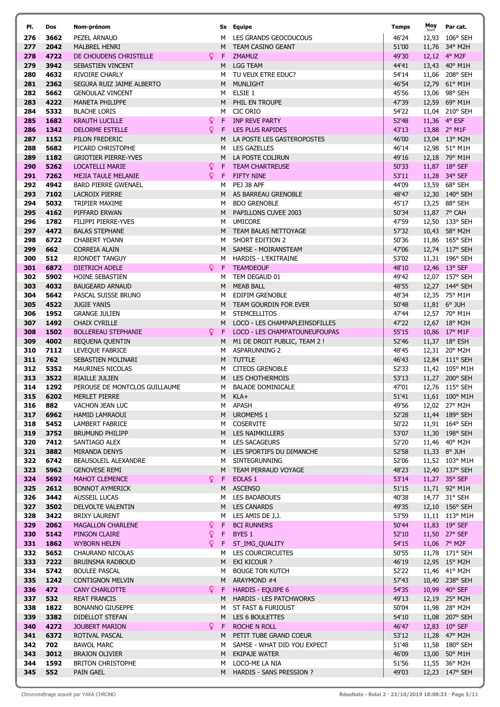| PI.        | Dos          | Nom-prénom                                       |              |        | Sx Equipe                                                     | Temps          | Moy   | Par cat.                       |
|------------|--------------|--------------------------------------------------|--------------|--------|---------------------------------------------------------------|----------------|-------|--------------------------------|
| 276        | 3662         | PEZEL ARNAUD                                     |              |        | M LES GRANDS GEOCOUCOUS                                       | 46'24          |       | 12,93 106° SEH                 |
| 277        | 2042         | <b>MALBREL HENRI</b>                             |              |        | M TEAM CASINO GEANT                                           | 51'00          | 11,76 | 34° M2H                        |
| 278        | 4722         | DE CHOUDENS CHRISTELLE                           | Q.           | F.     | <b>ZMAMUZ</b>                                                 | 49'30          |       | 12,12 4° M2F                   |
| 279        | 3942         | SEBASTIEN VINCENT                                |              | M      | <b>LGG TEAM</b>                                               | 44'41          |       | 13,43 40° M1H                  |
| 280        | 4632         | RIVOIRE CHARLY                                   |              | M      | TU VEUX ETRE EDUC?                                            | 54'14          |       | 11,06 208° SEH                 |
| 281        | 2362         | SEGURA RUIZ JAIME ALBERTO                        |              | M      | MUNLIGHT                                                      | 46'54          |       | 12,79 61° M1H                  |
| 282        | 5662         | <b>GENOULAZ VINCENT</b>                          |              | M      | ELSIE 1                                                       | 45'56          |       | 13,06 98° SEH                  |
| 283        | 4222         | <b>MANETA PHILIPPE</b>                           |              | M.     | PHIL EN TROUPE                                                | 47'39          |       | 12,59 69° M1H                  |
| 284<br>285 | 5332<br>1682 | <b>BLACHE LORIS</b>                              | $\mathsf Q$  | м<br>F | CIC ORIO<br>INP REVE PARTY                                    | 54'22<br>52'48 |       | 11,04 210° SEH<br>11,36 4° ESF |
| 286        | 1342         | <b>KRAUTH LUCILLE</b><br><b>DELORME ESTELLE</b>  | Q.           | F      | <b>LES PLUS RAPIDES</b>                                       | 43'13          |       | 13,88 2° M1F                   |
| 287        | 1152         | PILON FREDERIC                                   |              | м      | LA POSTE LES GASTEROPOSTES                                    | 46'00          |       | 13,04 13° M2H                  |
| 288        | 5682         | PICARD CHRISTOPHE                                |              | M      | <b>LES GAZELLES</b>                                           | 46'14          |       | 12,98 51° M1H                  |
| 289        | 1182         | <b>GRIOTIER PIERRE-YVES</b>                      |              |        | M LA POSTE COLIRUN                                            | 49'16          |       | 12,18 79° M1H                  |
| 290        | 5262         | <b>LOCATELLI MARIE</b>                           | ò            | F      | <b>TEAM CHARTREUSE</b>                                        | 50'33          |       | 11,87 18° SEF                  |
| 291        | 7262         | <b>MEJIA TAULE MELANIE</b>                       | $\mathsf{Q}$ | F.     | <b>FIFTY NINE</b>                                             | 53'11          |       | 11,28 34° SEF                  |
| 292        | 4942         | <b>BARD PIERRE GWENAEL</b>                       |              | M      | PEJ 38 APF                                                    | 44'09          |       | 13,59 68° SEH                  |
| 293        | 7102         | LACROIX PIERRE                                   |              |        | M AS BARREAU GRENOBLE                                         | 48'47          |       | 12,30 140° SEH                 |
| 294        | 5032         | TRIPIER MAXIME                                   |              | M      | <b>BDO GRENOBLE</b>                                           | 45'17          |       | 13,25 88° SEH                  |
| 295        | 4162         | PIFFARD ERWAN                                    |              |        | M PAPILLONS CUVEE 2003                                        | 50'34          |       | 11,87 7° CAH                   |
| 296        | 1782         | FILIPPI PIERRE-YVES                              |              | M      | <b>UMICORE</b>                                                | 47'59          |       | 12,50 133° SEH                 |
| 297        | 4472         | <b>BALAS STEPHANE</b>                            |              |        | M TEAM BALAS NETTOYAGE                                        | 57'32          |       | 10,43 58° M2H                  |
| 298        | 6722         | <b>CHABERT YOANN</b>                             |              | M      | <b>SHORT EDITION 2</b>                                        | 50'36          |       | 11,86 165° SEH                 |
| 299        | 662          | <b>CORREIA ALAIN</b>                             |              |        | M SAMSE - MOIRANSTEAM                                         | 47'06          |       | 12,74 117° SEH                 |
| 300        | 512          | <b>RIONDET TANGUY</b>                            |              |        | M HARDIS - L'EKITRAINE                                        | 53'02          |       | 11,31 196° SEH                 |
| 301        | 6872         | <b>DIETRICH ADELE</b>                            | Q.           |        | F TEAMDEOUF                                                   | 48'10          |       | 12,46 13° SEF                  |
| 302        | 5902         | HOINE SEBASTIEN                                  |              | м      | TEM DEGAUD 01                                                 | 49'42          |       | 12,07 157° SEH                 |
| 303        | 4032         | <b>BAUGEARD ARNAUD</b>                           |              | M      | <b>MEAB BALL</b>                                              | 48'55          |       | 12,27 144° SEH                 |
| 304        | 5642         | PASCAL SUISSE BRUNO                              |              | M      | EDIFIM GRENOBLE                                               | 48'34          |       | 12,35 75° M1H                  |
| 305        | 4522         | <b>JUGIE YANIS</b>                               |              |        | M TEAM GOURDIN FOR EVER                                       | 50'48          |       | 11,81 6° JUH                   |
| 306        | 1952         | <b>GRANGE JULIEN</b>                             |              | м      | <b>STEMCELLITOS</b>                                           | 47'44          |       | 12,57 70° M1H                  |
| 307        | 1492         | <b>CHAIX CYRILLE</b>                             |              | M      | LOCO - LES CHAMPAPLEINSDFILLES                                | 47'22          |       | 12,67 18° M2H                  |
| 308<br>309 | 1502<br>4002 | <b>BOLLEREAU STEPHANIE</b>                       | Q            | F<br>м | LOCO - LES CHAMPATOUNEUFOUPAS<br>M1 DE DROIT PUBLIC, TEAM 2 ! | 55'15<br>52'46 |       | 10,86 17° M1F<br>11,37 18° ESH |
| 310        | 7112         | REQUENA QUENTIN<br>LEVEQUE FABRICE               |              | M      | <b>ASPARUNNING 2</b>                                          | 48'45          |       | 12,31 20° M2H                  |
| 311        | 762          | SEBASTIEN MOLINARI                               |              |        | M TUTTLE                                                      | 46'43          |       | 12,84 111° SEH                 |
| 312        | 5352         | <b>MAURINES NICOLAS</b>                          |              | м      | <b>CITEOS GRENOBLE</b>                                        | 52'33          |       | 11,42 105° M1H                 |
| 313        | 3522         | <b>RIAILLE JULIEN</b>                            |              | M      | LES CHOTHERMOIS                                               | 53'13          |       | 11,27 200° SEH                 |
| 314        | 1292         | PEROUSE DE MONTCLOS GUILLAUME                    |              | м      | <b>BALADE DOMINICALE</b>                                      | 47'01          |       | 12,76 115° SEH                 |
| 315        | 6202         | MERLET PIERRE                                    |              | M      | KLA+                                                          | 51'41          |       | 11,61 100° M1H                 |
| 316        | 882          | VACHON JEAN LUC                                  |              |        | M APASH                                                       | 49'56          |       | 12,02 27° M2H                  |
| 317        | 6962         | HAMID LAMRAOUI                                   |              |        | M UROMEMS 1                                                   | 52'28          |       | 11,44 189° SEH                 |
| 318        | 5452         | LAMBERT FABRICE                                  |              |        | M COSERVITE                                                   | 50'22          |       | 11,91 164° SEH                 |
| 319        | 3752         | <b>BRUMUND PHILIPP</b>                           |              |        | M LES NAIMKILLERS                                             | 53'07          |       | 11,30 198° SEH                 |
| 320        | 7412         | SANTIAGO ALEX                                    |              |        | M LES SACAGEURS                                               | 52'20          |       | 11,46 40° M2H                  |
| 321        | 3882         | MIRANDA DENYS                                    |              |        | M LES SPORTIFS DU DIMANCHE                                    | 52'58          |       | 11,33 8° JUH                   |
| 322        | 6742         | BEAUSOLEIL ALEXANDRE                             |              | M      | SINTEGRUNNING                                                 | 52'06          |       | 11,52 103° M1H                 |
| 323        | 5962         | <b>GENOVESE REMI</b>                             |              |        | M TEAM PERRAUD VOYAGE                                         | 48'23          |       | 12,40 137° SEH                 |
| 324        | 5692         | MAHOT CLEMENCE                                   | <u>Q</u>     | F.     | EOLAS <sub>1</sub>                                            | 53'14          |       | 11,27 35° SEF                  |
| 325        | 2612         | <b>BONNOT AYMERICK</b>                           |              | M      | <b>ASCENSO</b>                                                | 51'15          |       | 11,71 92° M1H                  |
| 326        | 3442         | AUSSEIL LUCAS                                    |              | M      | LES BADABOUES                                                 | 40'38          |       | 14,77 31° SEH                  |
| 327        | 3502         | DELVOLTE VALENTIN                                |              |        | M LES CANARDS                                                 | 49'35          |       | 12,10 156° SEH                 |
| 328<br>329 | 3422<br>2062 | <b>BRIXY LAURENT</b><br><b>MAGALLON CHARLENE</b> | <u>Q</u>     | F.     | M LES AMIS DE J.J.<br><b>BCI RUNNERS</b>                      | 53'59<br>50'44 |       | 11,11 113° M1H                 |
| 330        | 5142         | PINGON CLAIRE                                    | $\mathsf{Q}$ | F.     | BYES 1                                                        | 52'10          |       | 11,83 19° SEF<br>11,50 27° SEF |
| 331        | 1862         | <b>WYBORN HELEN</b>                              | Q.           | F.     | ST_IMG_QUALITY                                                | 54'15          |       | 11,06 7° M2F                   |
| 332        | 5652         | CHAURAND NICOLAS                                 |              |        | M LES COURCIRCUITES                                           | 50'55          |       | 11,78 171° SEH                 |
| 333        | 7222         | BRUINSMA RADBOUD                                 |              |        | M EKI KICOUR ?                                                | 46'19          |       | 12,95 15° M2H                  |
| 334        | 5742         | <b>BOULEE PASCAL</b>                             |              | M      | <b>BOUGE TON KUTCH</b>                                        | 52'22          |       | 11,46 41° M2H                  |
| 335        | 1242         | <b>CONTIGNON MELVIN</b>                          |              |        | M ARAYMOND #4                                                 | 57'43          |       | 10,40 238° SEH                 |
| 336        | 472          | <b>CANY CHARLOTTE</b>                            | Q.           | F.     | <b>HARDIS - EQUIPE 6</b>                                      | 54'35          |       | 10,99 40° SEF                  |
| 337        | 532          | <b>REAT FRANCIS</b>                              |              | M.     | <b>HARDIS - LES PATCHWORKS</b>                                | 49'13          |       | 12,19 25° M2H                  |
| 338        | 1822         | <b>BONANNO GIUSEPPE</b>                          |              | M      | ST FAST & FURIOUST                                            | 50'04          |       | 11,98 28° M2H                  |
| 339        | 3382         | DIDELLOT STEFAN                                  |              |        | M LES 6 BOULETTES                                             | 54'10          |       | 11,08 207° SEH                 |
| 340        | 4272         | <b>JOUBERT MARION</b>                            | $\mathsf{Q}$ | F.     | <b>ROCHE N ROLL</b>                                           | 46'47          |       | 12,83 10° SEF                  |
| 341        | 6372         | ROTIVAL PASCAL                                   |              |        | M PETIT TUBE GRAND COEUR                                      | 53'12          |       | 11,28 47° M2H                  |
| 342        | 702          | <b>BAWOL MARC</b>                                |              | M      | SAMSE - WHAT DID YOU EXPECT                                   | 51'48          |       | 11,58 180° SEH                 |
| 343        | 3012         | <b>BRAJON OLIVIER</b>                            |              |        | M EKIPAJE WATER                                               | 46'09          |       | 13,00 50° M1H                  |
| 344        | 1592         | <b>BRITON CHRISTOPHE</b>                         |              | M      | LOCO-ME LA NIA                                                | 51'56          |       | 11,55 36° M2H                  |
| 345        | 552          | PAIN GAEL                                        |              |        | M HARDIS - SANS PRESSION ?                                    | 49'03          |       | 12,23 147° SEH                 |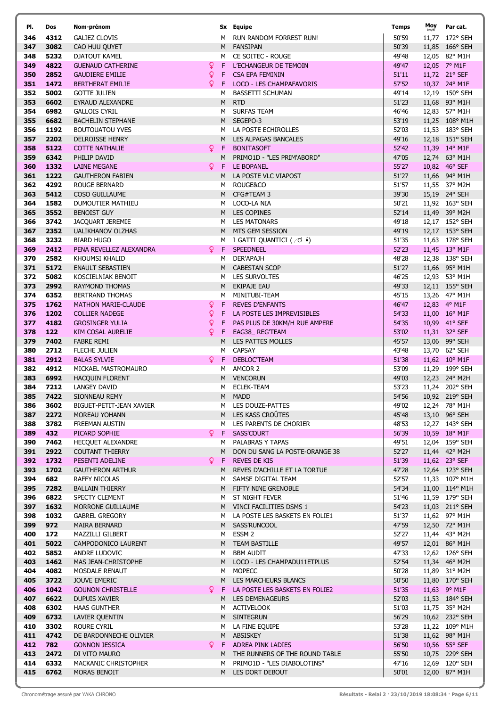| PI.        | Dos          | Nom-prénom                                       |             |        | Sx Equipe                                         | Temps          | Moy | Par cat.                        |
|------------|--------------|--------------------------------------------------|-------------|--------|---------------------------------------------------|----------------|-----|---------------------------------|
| 346        | 4312         | <b>GALIEZ CLOVIS</b>                             |             | м      | RUN RANDOM FORREST RUN!                           | 50'59          |     | 11,77 172° SEH                  |
| 347        | 3082         | CAO HUU QUYET                                    |             | M      | <b>FANSIPAN</b>                                   | 50'39          |     | 11,85 166° SEH                  |
| 348        | 5232         | DJATOUT KAMEL                                    |             | M      | CE SOITEC - ROUGE                                 | 49'48          |     | 12,05 82° M1H                   |
| 349        | 4822         | <b>GUENAUD CATHERINE</b>                         | Ŷ           | F      | L'ECHANGEUR DE TEMOIN                             | 49'47          |     | 12,05 7° M1F                    |
| 350        | 2852         | <b>GAUDIERE EMILIE</b>                           | ò           | F      | <b>CSA EPA FEMININ</b>                            | 51'11          |     | 11,72 21° SEF                   |
| 351        | 1472         | <b>BERTHERAT EMILIE</b>                          | Q.          | F      | LOCO - LES CHAMPAFAVORIS                          | 57'52          |     | 10,37 24° M1F                   |
| 352        | 5002         | <b>GOTTE JULIEN</b>                              |             | м      | <b>BASSETTI SCHUMAN</b>                           | 49'14          |     | 12,19 150° SEH                  |
| 353        | 6602         | EYRAUD ALEXANDRE                                 |             | M      | <b>RTD</b>                                        | 51'23          |     | 11,68 93° M1H                   |
| 354<br>355 | 6982<br>6682 | <b>GALLOIS CYRIL</b><br><b>BACHELIN STEPHANE</b> |             | M<br>M | <b>SURFAS TEAM</b><br>SEGEPO-3                    | 46'46<br>53'19 |     | 12,83 57° M1H<br>11,25 108° M1H |
| 356        | 1192         | <b>BOUTOUATOU YVES</b>                           |             | M      | LA POSTE ECHIROLLES                               | 52'03          |     | 11,53 183° SEH                  |
| 357        | 2202         | <b>DELROISSE HENRY</b>                           |             | M      | LES ALPAGAS BANCALES                              | 49'16          |     | 12,18 151° SEH                  |
| 358        | 5122         | <b>COTTE NATHALIE</b>                            | Q.          | F      | <b>BONITASOFT</b>                                 | 52'42          |     | 11,39 14° M1F                   |
| 359        | 6342         | PHILIP DAVID                                     |             | M      | PRIMO1D - "LES PRIM'ABORD"                        | 47'05          |     | 12,74 63° M1H                   |
| 360        | 1332         | <b>LAINE MEGANE</b>                              | Q.          | F      | LE BOPANEL                                        | 55'27          |     | 10,82 46° SEF                   |
| 361        | 1222         | <b>GAUTHERON FABIEN</b>                          |             | M      | LA POSTE VLC VIAPOST                              | 51'27          |     | 11,66 94° M1H                   |
| 362        | 4292         | <b>ROUGE BERNARD</b>                             |             | м      | ROUGE&CO                                          | 51'57          |     | 11,55 37° M2H                   |
| 363        | 5412         | <b>COSO GUILLAUME</b>                            |             | M      | CFG#TEAM 3                                        | 39'30          |     | 15,19 24° SEH                   |
| 364        | 1582         | <b>DUMOUTIER MATHIEU</b>                         |             | M      | LOCO-LA NIA                                       | 50'21          |     | 11,92 163° SEH                  |
| 365        | 3552         | <b>BENOIST GUY</b>                               |             |        | M LES COPINES                                     | 52'14          |     | 11,49 39° M2H                   |
| 366        | 3742         | JACQUART JEREMIE                                 |             |        | M LES MATONARS                                    | 49'18          |     | 12,17 152° SEH                  |
| 367        | 2352         | UALIKHANOV OLZHAS                                |             | M      | MTS GEM SESSION                                   | 49'19          |     | 12,17 153° SEH                  |
| 368        | 3232         | <b>BIARD HUGO</b>                                |             | M      | I GATTI QUANTICI ( ┌ づ_•́)                        | 51'35          |     | 11,63 178° SEH                  |
| 369        | 2412         | PENA REVELLEZ ALEXANDRA                          | Q.          | F      | SPEEDNEEL                                         | 52'23          |     | 11,45 13° M1F                   |
| 370        | 2582         | KHOUMSI KHALID                                   |             | м      | DER'APAJH                                         | 48'28          |     | 12,38 138° SEH                  |
| 371<br>372 | 5172         | <b>ENAULT SEBASTIEN</b>                          |             |        | M CABESTAN SCOP                                   | 51'27          |     | 11,66 95° M1H                   |
| 373        | 5082<br>2992 | KOSCIELNIAK BENOIT<br><b>RAYMOND THOMAS</b>      |             | M      | M LES SURVOLTES<br><b>EKIPAJE EAU</b>             | 46'25<br>49'33 |     | 12,93 53° M1H<br>12,11 155° SEH |
| 374        | 6352         | <b>BERTRAND THOMAS</b>                           |             | м      | MINITUBI-TEAM                                     | 45'15          |     | 13,26 47° M1H                   |
| 375        | 1762         | <b>MATHON MARIE-CLAUDE</b>                       | $\mathsf Q$ | F      | <b>REVES D'ENFANTS</b>                            | 46'47          |     | 12,83 4° M1F                    |
| 376        | 1202         | <b>COLLIER NADEGE</b>                            | Q.          | F      | LA POSTE LES IMPREVISIBLES                        | 54'33          |     | 11,00 16° M1F                   |
| 377        | 4182         | <b>GROSINGER YULIA</b>                           | ò           | F      | PAS PLUS DE 30KM/H RUE AMPERE                     | 54'35          |     | 10,99 41° SEF                   |
| 378        | 122          | <b>KIM COSAL AURELIE</b>                         | Q.          | F.     | EAG38_REGTEAM                                     | 53'02          |     | 11,31 32° SEF                   |
| 379        | 7402         | <b>FABRE REMI</b>                                |             | M      | LES PATTES MOLLES                                 | 45'57          |     | 13,06 99° SEH                   |
| 380        | 2712         | <b>FLECHE JULIEN</b>                             |             | м      | <b>CAPSAY</b>                                     | 43'48          |     | 13,70 62° SEH                   |
| 381        | 2912         | <b>BALAS SYLVIE</b>                              | Q.          | F      | DEBLOC'TEAM                                       | 51'38          |     | 11,62 10° M1F                   |
| 382        | 4912         | MICKAEL MASTROMAURO                              |             | м      | AMCOR 2                                           | 53'09          |     | 11,29 199° SEH                  |
| 383        | 6992         | HACQUIN FLORENT                                  |             | M      | <b>VENCORUN</b>                                   | 49'03          |     | 12,23 24° M2H                   |
| 384        | 7212         | LANGEY DAVID                                     |             | м      | <b>ECLEK-TEAM</b>                                 | 53'23          |     | 11,24 202° SEH                  |
| 385        | 7422         | SIONNEAU REMY                                    |             | M      | MADD                                              | 54'56          |     | 10,92 219° SEH                  |
| 386        | 3602         | BIGUET-PETIT-JEAN XAVIER                         |             |        | M LES DOUZE-PATTES                                | 49'02          |     | 12,24 78° M1H                   |
| 387        | 2272         | MOREAU YOHANN<br>FREEMAN AUSTIN                  |             |        | M LES KASS CROÛTES                                | 45'48          |     | 13,10 96° SEH                   |
| 388<br>389 | 3782<br>432  | PICARD SOPHIE                                    | Q.          |        | M LES PARENTS DE CHORIER<br>F SASS'COURT          | 48'53<br>56'39 |     | 12,27 143° SEH<br>10,59 18° M1F |
| 390        | 7462         | <b>HECOUET ALEXANDRE</b>                         |             |        | M PALABRAS Y TAPAS                                | 49'51          |     | 12,04 159° SEH                  |
| 391        | 2922         | <b>COUTANT THIERRY</b>                           |             |        | M DON DU SANG LA POSTE-ORANGE 38                  | 52'27          |     | 11,44 42° M2H                   |
| 392        | 1732         | PESENTI ADELINE                                  | Q.          | F.     | <b>REVES DE KIS</b>                               | 51'39          |     | 11,62 23° SEF                   |
| 393        | 1702         | <b>GAUTHERON ARTHUR</b>                          |             |        | M REVES D'ACHILLE ET LA TORTUE                    | 47'28          |     | 12,64 123° SEH                  |
| 394        | 682          | RAFFY NICOLAS                                    |             |        | M SAMSE DIGITAL TEAM                              | 52'57          |     | 11,33 107° M1H                  |
| 395        | 7282         | <b>BALLAIN THIERRY</b>                           |             |        | M FIFTY NINE GRENOBLE                             | 54'34          |     | 11,00 114° M1H                  |
| 396        | 6822         | SPECTY CLEMENT                                   |             | M      | ST NIGHT FEVER                                    | 51'46          |     | 11,59 179° SEH                  |
| 397        | 1632         | MORRONE GUILLAUME                                |             |        | M VINCI FACILITIES DSMS 1                         | 54'23          |     | 11,03 211° SEH                  |
| 398        | 1032         | <b>GABREL GREGORY</b>                            |             |        | M LA POSTE LES BASKETS EN FOLIE1                  | 51'37          |     | 11,62 97° M1H                   |
| 399        | 972          | MAIRA BERNARD                                    |             |        | M SASS'RUNCOOL                                    | 47'59          |     | 12,50 72° M1H                   |
| 400        | 172          | MAZZILLI GILBERT                                 |             |        | M ESSM 2                                          | 52'27          |     | 11,44 43° M2H                   |
| 401        | 5022         | CAMPODONICO LAURENT                              |             |        | M TEAM BASTILLE                                   | 49'57          |     | 12,01 86° M1H                   |
| 402<br>403 | 5852<br>1462 | ANDRE LUDOVIC                                    |             | M      | <b>BBM AUDIT</b><br>M LOCO - LES CHAMPADU11ETPLUS | 47'33<br>52'54 |     | 12,62 126° SEH                  |
| 404        | 4082         | MAS JEAN-CHRISTOPHE<br>MOSDALE RENAUT            |             | M      | <b>MOPECC</b>                                     | 50'28          |     | 11,34 46° M2H<br>11,89 31° M2H  |
| 405        | 3722         | JOUVE EMERIC                                     |             |        | M LES MARCHEURS BLANCS                            | 50'50          |     | 11,80 170° SEH                  |
| 406        | 1042         | <b>GOUNON CHRISTELLE</b>                         | Q.          |        | F LA POSTE LES BASKETS EN FOLIE2                  | 51'35          |     | 11,63 9° M1F                    |
| 407        | 6622         | DUPUIS XAVIER                                    |             |        | M LES DEMENAGEURS                                 | 52'03          |     | 11,53 184° SEH                  |
| 408        | 6302         | <b>HAAS GUNTHER</b>                              |             | M      | <b>ACTIVELOOK</b>                                 | 51'03          |     | 11,75 35° M2H                   |
| 409        | 6732         | LAVIER QUENTIN                                   |             |        | M SINTEGRUN                                       | 56'29          |     | 10,62 232° SEH                  |
| 410        | 3302         | <b>ROURE CYRIL</b>                               |             | M      | LA FINE EQUIPE                                    | 53'28          |     | 11,22 $109^{\circ}$ M1H         |
| 411        | 4742         | DE BARDONNECHE OLIVIER                           |             |        | M ABSISKEY                                        | 51'38          |     | 11,62 98° M1H                   |
| 412        | 782          | <b>GONNON JESSICA</b>                            | Q.          |        | F ADREA PINK LADIES                               | 56'50          |     | 10,56 55° SEF                   |
| 413        | 2472         | DI VITO MAURO                                    |             |        | M THE RUNNERS OF THE ROUND TABLE                  | 55'50          |     | 10,75 229° SEH                  |
| 414        | 6332         | MACKANIC CHRISTOPHER                             |             | M      | PRIMO1D - "LES DIABOLOTINS"                       | 47'16          |     | 12,69 120° SEH                  |
| 415        | 6762         | MORAS BENOIT                                     |             |        | M LES DORT DEBOUT                                 | 50'01          |     | 12,00 87° M1H                   |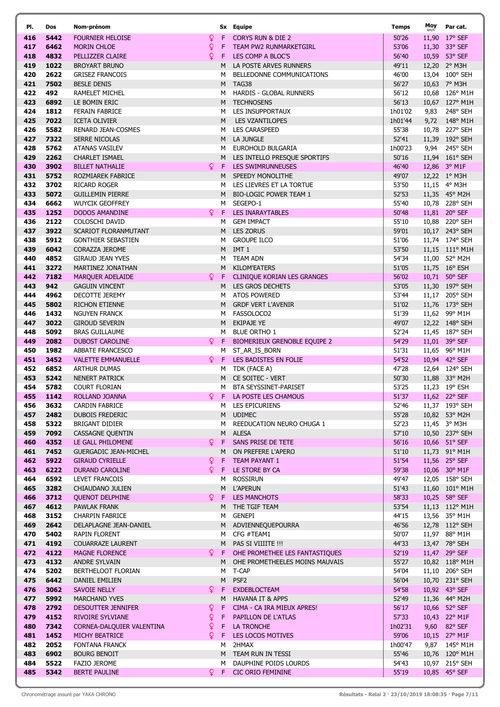| PI.        | Dos          | Nom-prénom                                        |                |          | Sx Equipe                                 | Temps            | Moy   | Par cat.                        |
|------------|--------------|---------------------------------------------------|----------------|----------|-------------------------------------------|------------------|-------|---------------------------------|
| 416        | 5442         | <b>FOURNIER HELOISE</b>                           | Q.             |          | <b>CORYS RUN &amp; DIE 2</b>              | 50'26            | 11,90 | $17^{\circ}$ SEF                |
| 417        | 6462         | <b>MORIN CHLOE</b>                                | Q              | F        | TEAM PW2 RUNMARKETGIRL                    | 53'06            | 11,30 | 33° SEF                         |
| 418        | 4832         | PELLIZZER CLAIRE                                  | Q              | F.       | LES COMP A BLOC'S                         | 56'40            |       | 10,59 53° SEF                   |
| 419        | 1022         | <b>BROYART BRUNO</b>                              |                | M        | LA POSTE ARVES RUNNERS                    | 49'11            |       | 12,20 2° M3H                    |
| 420        | 2622         | <b>GRISEZ FRANCOIS</b>                            |                | M        | BELLEDONNE COMMUNICATIONS                 | 46'00            |       | 13,04 100° SEH                  |
| 421        | 7502         | <b>BESLE DENIS</b>                                |                | M        | TAG38                                     | 56'27            |       | 10,63 7° M3H                    |
| 422        | 492          | RAMELET MICHEL                                    |                | м        | <b>HARDIS - GLOBAL RUNNERS</b>            | 56'12            |       | 10,68 126° M1H                  |
| 423        | 6892         | LE BOMIN ERIC                                     |                | M        | <b>TECHNOSENS</b>                         | 56'13            |       | 10,67 127° M1H                  |
| 424        | 1812         | <b>FERAIN FABRICE</b>                             |                | м        | LES INSUPPORTAUX                          | 1h01'02          | 9,83  | 248° SEH                        |
| 425        | 7022         | <b>ICETA OLIVIER</b>                              |                | M        | <b>LES VZANTILOPES</b>                    | 1h01'44          |       | 9,72 148° M1H                   |
| 426        | 5582         | <b>RENARD JEAN-COSMES</b>                         |                | M        | <b>LES CARASPEED</b>                      | 55'38            |       | 10,78 227° SEH                  |
| 427        | 7322         | <b>SERRE NICOLAS</b>                              |                | M        | LA JUNGLE                                 | 52'41            |       | 11,39 192° SEH                  |
| 428        | 5762         | <b>ATANAS VASILEV</b>                             |                | м        | EUROHOLD BULGARIA                         | 1h00'23          |       | 9,94 245° SEH                   |
| 429        | 2262         | <b>CHARLET ISMAEL</b>                             |                |          | M LES INTELLO PRESQUE SPORTIFS            | 50'16            |       | 11,94 161° SEH                  |
| 430        | 3902         | <b>BILLET NATHALIE</b>                            | <u>Q</u>       |          | F LES SWIMRUNNEUSES                       | 46'40            |       | 12,86 3° M1F                    |
| 431<br>432 | 5752         | ROZMIAREK FABRICE                                 |                | M        | SPEEDY MONOLITHE                          | 49'07            |       | 12,22 1° M3H                    |
|            | 3702<br>5072 | <b>RICARD ROGER</b>                               |                | м        | LES LIEVRES ET LA TORTUE                  | 53'50            |       | 11,15 4° M3H                    |
| 433<br>434 | 6662         | <b>GUILLEMIN PIERRE</b><br><b>WUYCIK GEOFFREY</b> |                | M<br>M   | <b>BIO-LOGIC POWER TEAM 1</b><br>SEGEPO-1 | 52'53<br>55'40   |       | 11,35 45° M2H<br>10,78 228° SEH |
| 435        | 1252         | <b>DODOS AMANDINE</b>                             | $\mathbf{Q}$   | F.       | <b>LES INARAYTABLES</b>                   | 50'48            |       | 11,81 20° SEF                   |
| 436        | 2122         | COLOSCHI DAVID                                    |                | м        | <b>GEM IMPACT</b>                         | 55'10            |       | 10,88 220° SEH                  |
| 437        | 3922         | SCARIOT FLORANMUTANT                              |                | M        | <b>LES ZORUS</b>                          | 59'01            |       | 10,17 243° SEH                  |
| 438        | 5912         | <b>GONTHIER SEBASTIEN</b>                         |                | M        | <b>GROUPE ILCO</b>                        | 51'06            |       | 11,74 174° SEH                  |
| 439        | 6042         | <b>CORAZZA JEROME</b>                             |                | M        | IMT <sub>1</sub>                          | 53'50            |       | 11,15 111° M1H                  |
| 440        | 4852         | <b>GIRAUD JEAN YVES</b>                           |                | м        | <b>TEAM ADN</b>                           | 54'34            |       | 11,00 52° M2H                   |
| 441        | 3272         | MARTINEZ JONATHAN                                 |                |          | M KILOM'EATERS                            | 51'05            |       | 11,75 16° ESH                   |
| 442        | 7182         | <b>MARQUER ADELAIDE</b>                           | Q.             | F.       | <b>CLINIQUE KORIAN LES GRANGES</b>        | 56'02            |       | 10,71 50° SEF                   |
| 443        | 942          | <b>GAGUIN VINCENT</b>                             |                | M        | LES GROS DECHETS                          | 53'05            |       | 11,30 197° SEH                  |
| 444        | 4962         | DECOTTE JEREMY                                    |                | M        | <b>ATOS POWERED</b>                       | 53'44            |       | 11,17 205° SEH                  |
| 445        | 5802         | RICHON ETIENNE                                    |                | M        | <b>GRDF VERT L'AVENIR</b>                 | 51'02            |       | 11,76 173° SEH                  |
| 446        | 1432         | <b>NGUYEN FRANCK</b>                              |                | M        | FASSOLOCO2                                | 51'39            |       | 11,62 99° M1H                   |
| 447        | 3022         | <b>GIROUD SEVERIN</b>                             |                | M        | <b>EKIPAJE YE</b>                         | 49'07            |       | 12,22 148° SEH                  |
| 448        | 5092         | <b>BRAS GUILLAUME</b>                             |                | м        | <b>BLUE ORTHO 1</b>                       | 52'24            |       | 11,45 187° SEH                  |
| 449        | 2082         | <b>DUBOST CAROLINE</b>                            | Q.             | F        | BIOMERIEUX GRENOBLE EQUIPE 2              | 54'29            |       | 11,01 39° SEF                   |
| 450        | 1982         | <b>ABBATE FRANCESCO</b>                           |                | M        | ST_AR_IS_BORN                             | 51'31            |       | 11,65 96° M1H                   |
| 451        | 3452         | <b>VALETTE EMMANUELLE</b>                         | $\mathsf{Q}^-$ | -F       | LES BADISTES EN FOLIE                     | 54'52            |       | 10,94 42° SEF                   |
| 452        | 6852         | <b>ARTHUR DUMAS</b>                               |                | м        | TDK (FACE A)                              | 47'28            |       | 12,64 124° SEH                  |
| 453<br>454 | 5242<br>5782 | <b>NENERT PATRICK</b><br><b>COURT FLORIAN</b>     |                | M .<br>м | CE SOITEC - VERT<br>BTA SEYSSINET-PARISET | 50'30<br>53'25   |       | 11,88 33° M2H<br>11,23 19° ESH  |
| 455        | 1142         | ROLLAND JOANNA                                    | Q              |          | F LA POSTE LES CHAMOUS                    | 51'37            |       | 11,62 22° SEF                   |
| 456        | 3632         | <b>CARDIN FABRICE</b>                             |                |          | M LES EPICURIENS                          | 52'46            |       | 11,37 193° SEH                  |
| 457        | 2482         | DUBOIS FREDERIC                                   |                |          | M UDIMEC                                  | 55'28            |       | 10,82 53° M2H                   |
| 458        | 5322         | BRIGANT DIDIER                                    |                | м        | REEDUCATION NEURO CHUGA 1                 | 52'23            |       | 11,45 3° M3H                    |
| 459        | 7092         | <b>CASSAGNE QUENTIN</b>                           |                |          | M ALESA                                   | 57'10            |       | 10,50 237° SEH                  |
| 460        | 4352         | LE GALL PHILOMENE                                 | Q.             | F.       | SANS PRISE DE TETE                        | 56'16            |       | 10,66 51° SEF                   |
| 461        | 7452         | <b>GUERGADIC JEAN-MICHEL</b>                      |                | M        | ON PREFERE L'APERO                        | 51'10            |       | 11,73 91° M1H                   |
| 462        | 5922         | <b>GIRAUD CYRIELLE</b>                            | Q.             | F        | <b>TEAM PAYANT 1</b>                      | 51'54            |       | 11,56 25° SEF                   |
| 463        | 6222         | <b>DURAND CAROLINE</b>                            | Q.             |          | F LE STORE BY CA                          | 59'38            |       | 10,06 30° M1F                   |
| 464        | 6592         | LEVET FRANCOIS                                    |                | м        | <b>ROSSIRUN</b>                           | 49'47            |       | 12,05 158° SEH                  |
| 465        | 3282         | CHIAUDANO JULIEN                                  |                | M        | <b>L'APERUN</b>                           | 51'43            |       | 11,60 101° M1H                  |
| 466        | 3712         | <b>QUENOT DELPHINE</b>                            | Q.             | F.       | <b>LES MANCHOTS</b><br>THE TGIF TEAM      | 58'33            |       | 10,25 58° SEF                   |
| 467<br>468 | 4612<br>3152 | PAWLAK FRANK<br><b>CHARPIN FABRICE</b>            |                | M.<br>м  | <b>GENEPI</b>                             | 53'54<br>44'15   |       | 11,13 112° M1H<br>13,56 35° M1H |
| 469        | 2642         | DELAPLAGNE JEAN-DANIEL                            |                |          | M ADVIENNEQUEPOURRA                       | 46'56            |       | 12,78 112° SEH                  |
| 470        | 5402         | RAPIN FLORENT                                     |                | M        | CFG #TEAM1                                | 50'07            |       | 11,97 88° M1H                   |
| 471        | 4192         | <b>COUARRAZE LAURENT</b>                          |                | M        | PAS SI VIIIITE !!!                        | 44'33            |       | 13,47 78° SEH                   |
| 472        | 4122         | <b>MAGNE FLORENCE</b>                             | Q.             | F.       | OHE PROMETHEE LES FANTASTIQUES            | 52'19            |       | 11,47 29° SEF                   |
| 473        | 4132         | ANDRE SYLVAIN                                     |                | M        | OHE PROMETHEELES MOINS MAUVAIS            | 55'27            |       | 10,82 118° M1H                  |
| 474        | 5202         | BERTHELOOT FLORIAN                                |                | м        | T-CAP                                     | 54'04            |       | 11,10 206° SEH                  |
| 475        | 6442         | DANIEL EMILIEN                                    |                | M        | PSF <sub>2</sub>                          | 56'04            |       | 10,70 231° SEH                  |
| 476        | 3062         | <b>SAVOIE NELLY</b>                               | Q.             | F        | <b>EXDEBLOCTEAM</b>                       | 54'58            |       | 10,92 43° SEF                   |
| 477        | 5992         | <b>MARCHAND YVES</b>                              |                | M        | <b>HAVANA IT &amp; APPS</b>               | 52'49            |       | 11,36 44° M2H                   |
| 478        | 2792         | <b>DESOUTTER JENNIFER</b>                         | Q.             | F.       | CIMA - CA IRA MIEUX APRES!                | 56'17            |       | 10,66 52° SEF                   |
| 479        | 4152         | RIVOIRE SYLVIANE                                  | ò              | F.       | PAPILLON DE L'ATLAS                       | 57'33            |       | 10,43 22° M1F                   |
| 480        | 7342         | CORNEA-DALQUIER VALENTINA                         | ò              | F        | LA TRONCHE                                | 1h02'31          | 9,60  | 82° SEF                         |
| 481        | 1452         | MICHY BEATRICE                                    | Q.             | F        | LES LOCOS MOTIVES                         | 59'06            |       | 10,15 27° M1F                   |
| 482<br>483 | 2052<br>6902 | <b>FONTANA FRANCK</b><br><b>BOURG BENOIT</b>      |                | м<br>M   | 2HMAX<br>TEAM RUN IN TESSI                | 1h00'47<br>55'46 |       | 9,87 145° M1H<br>10,76 120° M1H |
| 484        | 5522         | FAZIO JEROME                                      |                | M        | DAUPHINE POIDS LOURDS                     | 54'43            |       | 10,97 215° SEH                  |
| 485        | 5342         | <b>BERTE PAULINE</b>                              | $\mathsf{Q}$   | F        | <b>CIC ORIO FEMININE</b>                  | 55'19            |       | 10,85 45° SEF                   |
|            |              |                                                   |                |          |                                           |                  |       |                                 |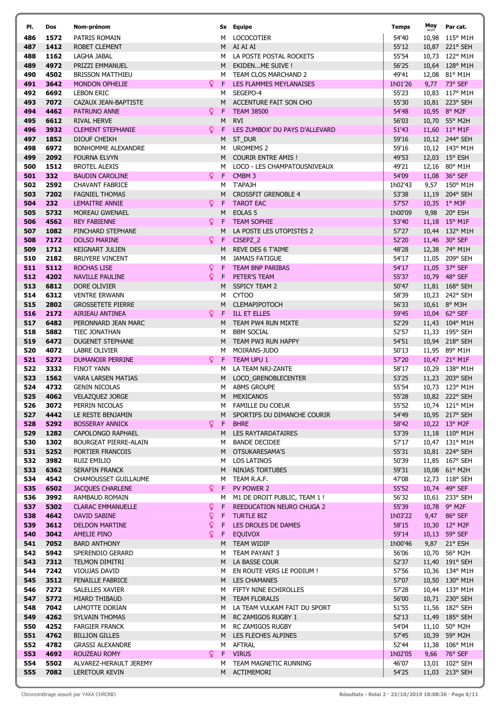| PI.        | Dos          | Nom-prénom                                        |         |                  | Sx Equipe                                       | Temps            | Moy  | Par cat.                         |
|------------|--------------|---------------------------------------------------|---------|------------------|-------------------------------------------------|------------------|------|----------------------------------|
| 486        | 1572         | PATRIS ROMAIN                                     |         | M                | <b>LOCOCOTIER</b>                               | 54'40            |      | 10,98 115° M1H                   |
| 487        | 1412         | ROBET CLEMENT                                     |         |                  | M AI AI AI                                      | 55'12            |      | 10,87 221° SEH                   |
| 488        | 1162         | LAGHA JABAL                                       |         |                  | M LA POSTE POSTAL ROCKETS                       | 55'54            |      | 10,73 122° M1H                   |
| 489        | 4972         | PRIZZI EMMANUEL                                   |         | M                | EKIDENME SUIVE !                                | 56'25            |      | 10,64 128° M1H                   |
| 490        | 4502         | <b>BRISSON MATTHIEU</b>                           |         | M                | TEAM CLOS MARCHAND 2                            | 49'41            |      | 12,08 81° M1H                    |
| 491<br>492 | 3642<br>6692 | <b>MONDON OPHELIE</b><br><b>LEBON ERIC</b>        | Q.      | F<br>M           | LES FLAMMES MEYLANAISES<br>SEGEPO-4             | 1h01'26<br>55'23 |      | 9,77 73° SEF<br>10,83 117° M1H   |
| 493        | 7072         | CAZAUX JEAN-BAPTISTE                              |         | M                | ACCENTURE FAIT SON CHO                          | 55'30            |      | 10,81 223° SEH                   |
| 494        | 4462         | <b>PATRUNO ANNE</b>                               | Q.      | -F               | <b>TEAM 38500</b>                               | 54'48            |      | 10,95 8° M2F                     |
| 495        | 6612         | <b>RIVAL HERVE</b>                                |         | M                | <b>RVI</b>                                      | 56'03            |      | 10,70 55° M2H                    |
| 496        | 3932         | <b>CLEMENT STEPHANIE</b>                          | Q.      | F                | LES ZUMBOX' DU PAYS D'ALLEVARD                  | 51'43            |      | 11,60 11° M1F                    |
| 497        | 1852         | DIOUF CHEIKH                                      |         | M                | ST_DUR                                          | 59'16            |      | 10,12 244° SEH                   |
| 498        | 6972         | BONHOMME ALEXANDRE                                |         | M                | <b>UROMEMS 2</b>                                | 59'16            |      | 10,12 143° M1H                   |
| 499        | 2092         | <b>FOURNA ELVYN</b>                               |         |                  | M COURIR ENTRE AMIS!                            | 49'53            |      | 12,03 15° ESH                    |
| 500        | 1512         | <b>BROTEL ALEXIS</b>                              |         | M                | LOCO - LES CHAMPATOUSNIVEAUX                    | 49'21            |      | 12,16 80° M1H                    |
| 501<br>502 | 332<br>2592  | <b>BAUDIN CAROLINE</b><br><b>CHAVANT FABRICE</b>  | Q.      | Æ<br>M           | CMBM <sub>3</sub><br><b>T'APAJH</b>             | 54'09<br>1h02'43 |      | 11,08 36° SEF<br>9,57 150° M1H   |
| 503        | 7202         | <b>FAGNIEL THOMAS</b>                             |         | M                | <b>CROSSFIT GRENOBLE 4</b>                      | 53'38            |      | 11,19 204° SEH                   |
| 504        | 232          | LEMAITRE ANNIE                                    | ò       | -F               | <b>TAROT EAC</b>                                | 57'57            |      | 10,35 1° M3F                     |
| 505        | 5732         | <b>MOREAU GWENAEL</b>                             |         | M                | EOLAS <sub>5</sub>                              | 1h00'09          | 9,98 | 20° ESH                          |
| 506        | 4562         | <b>REY FABIENNE</b>                               | Q.      | F.               | <b>TEAM SOPHIE</b>                              | 53'40            |      | 11,18 15° M1F                    |
| 507        | 1082         | PINCHARD STEPHANE                                 |         | M                | LA POSTE LES UTOPISTES 2                        | 57'27            |      | 10,44 132° M1H                   |
| 508        | 7172         | <b>DOLSO MARINE</b>                               | Q.      | F.               | CISEPZ_2                                        | 52'20            |      | 11,46 30° SEF                    |
| 509        | 1712         | <b>KEIGNART JULIEN</b>                            |         | M                | <b>REVE DES 6 T'AIME</b>                        | 48'28            |      | 12,38 74° M1H                    |
| 510<br>511 | 2182<br>5112 | <b>BRUYERE VINCENT</b>                            | Q.      | M                | <b>JAMAIS FATIGUE</b>                           | 54'17<br>54'17   |      | 11,05 209° SEH<br>11,05 37° SEF  |
| 512        | 4202         | ROCHAS LISE<br><b>NAVILLE PAULINE</b>             | Q.      | -F.<br>F.        | TEAM BNP PARIBAS<br>PETER'S TEAM                | 55'37            |      | 10,79 48° SEF                    |
| 513        | 6812         | DORE OLIVIER                                      |         | M                | <b>SSPICY TEAM 2</b>                            | 50'47            |      | 11,81 168° SEH                   |
| 514        | 6312         | <b>VENTRE ERWANN</b>                              |         | M                | CYTOO                                           | 58'39            |      | 10,23 242° SEH                   |
| 515        | 2802         | <b>GROSSETETE PIERRE</b>                          |         | M                | <b>CLEMAPIPOTOCH</b>                            | 56'33            |      | 10,61 8° M3H                     |
| 516        | 2172         | AIRIEAU ANTINEA                                   | Q.      | F.               | <b>ILL ET ELLES</b>                             | 59'45            |      | 10,04 62° SEF                    |
| 517        | 6482         | PERONNARD JEAN MARC                               |         | M                | TEAM PW4 RUN MIXTE                              | 52'29            |      | 11,43 104° M1H                   |
| 518        | 5882         | TIEC JONATHAN                                     |         | M                | <b>BBM SOCIAL</b>                               | 52'57            |      | 11,33 195° SEH                   |
| 519        | 6472         | <b>DUGENET STEPHANE</b>                           |         | M                | TEAM PW3 RUN HAPPY                              | 54'51            |      | 10,94 218° SEH                   |
| 520<br>521 | 4072<br>5272 | LABRE OLIVIER<br><b>DUMANOIR PERRINE</b>          |         | м<br>9 F         | MOIRANS-JUDO<br><b>TEAM UPU 1</b>               | 50'13<br>57'20   |      | 11,95 89° M1H<br>10,47 21° M1F   |
| 522        | 3332         | <b>FINOT YANN</b>                                 |         | M                | LA TEAM NRJ-ZANTE                               | 58'17            |      | 10,29 138° M1H                   |
| 523        | 1562         | <b>VARA LARSEN MATIAS</b>                         |         | M                | LOCO_GRENOBLECENTER                             | 53'25            |      | 11,23 203° SEH                   |
| 524        | 4732         | <b>GENIN NICOLAS</b>                              |         | м                | <b>ABMS GROUPE</b>                              | 55'54            |      | 10,73 123° M1H                   |
| 525        | 4062         | VELAZQUEZ JORGE                                   |         | M                | MEXICANOS                                       | 55'28            |      | 10,82 222° SEH                   |
| 526        | 3072         | PERRIN NICOLAS                                    |         | M                | <b>FAMILLE DU COEUR</b>                         | 55'52            |      | 10,74 121° M1H                   |
| 527        | 4442         | LE RESTE BENJAMIN                                 |         | M                | SPORTIFS DU DIMANCHE COURIR                     | 54'49            |      | 10,95 217° SEH                   |
| 528        | 5292         | <b>BOSSERAY ANNICK</b>                            | ò.      | F.               | <b>BHRE</b>                                     | 58'42            |      | 10,22 13° M2F                    |
| 529<br>530 | 1282<br>1302 | <b>CAPOLONGO RAPHAEL</b><br>BOURGEAT PIERRE-ALAIN |         | M<br>M           | LES RAYTARDATAIRES<br><b>BANDE DECIDEE</b>      | 53'39<br>57'17   |      | 11,18 110° M1H<br>10,47 131° M1H |
| 531        | 5252         | PORTIER FRANCOIS                                  |         | M                | OTSUKARESAMA'S                                  | 55'31            |      | 10,81 224° SEH                   |
| 532        | 3982         | RUIZ EMILIO                                       |         | M                | <b>LOS LATINOS</b>                              | 50'39            |      | 11,85 167° SEH                   |
| 533        | 6362         | SERAFIN FRANCK                                    |         | M                | <b>NINJAS TORTUBES</b>                          | 59'31            |      | 10,08 61° M2H                    |
| 534        | 4542         | CHAMOUSSET GUILLAUME                              |         | M                | TEAM R.A.F.                                     | 47'08            |      | 12,73 118° SEH                   |
| 535        | 6502         | <b>JACQUES CHARLENE</b>                           |         | φ F              | PV POWER 2                                      | 55'52            |      | 10,74 49° SEF                    |
| 536        | 3992         | RAMBAUD ROMAIN                                    |         | M                | M1 DE DROIT PUBLIC, TEAM 1 !                    | 56'32            |      | 10,61 233° SEH                   |
| 537<br>538 | 5302<br>4642 | <b>CLARAC EMMANUELLE</b>                          | Q.<br>Ŷ | F<br>$\mathsf F$ | <b>REEDUCATION NEURO CHUGA 2</b>                | 55'39            |      | 10,78 9° M2F                     |
| 539        | 3612         | DAVID SABINE<br><b>DELDON MARTINE</b>             | ò       | F                | <b>TURTLE BIZ</b><br>LES DROLES DE DAMES        | 1h03'22<br>58'15 | 9,47 | 86° SEF<br>10,30 12° M2F         |
| 540        | 3042         | AMELIE PINO                                       | Q.      | $\mathsf F$      | <b>EQUIVOX</b>                                  | 59'14            |      | 10,13 59° SEF                    |
| 541        | 7052         | <b>BARD ANTHONY</b>                               |         | M                | <b>TEAM WIDIP</b>                               | 1h00'46          | 9,87 | 21° ESH                          |
| 542        | 5942         | SPERENDIO GERARD                                  |         | м                | TEAM PAYANT 3                                   | 56'06            |      | 10,70 56° M2H                    |
| 543        | 7312         | TELMON DIMITRI                                    |         |                  | M LA BASSE COUR                                 | 52'37            |      | 11,40 191° SEH                   |
| 544        | 7242         | VIOUJAS DAVID                                     |         | м                | EN ROUTE VERS LE PODIUM !                       | 57'56            |      | 10,36 134° M1H                   |
| 545        | 3512         | <b>FENAILLE FABRICE</b>                           |         |                  | M LES CHAMANES                                  | 57'07            |      | 10,50 130° M1H                   |
| 546        | 7272         | SALELLES XAVIER                                   |         | м                | FIFTY NINE ECHIROLLES                           | 57'28            |      | 10,44 133° M1H                   |
| 547<br>548 | 5772<br>7042 | MIARD THIBAUD<br>LAMOTTE DORIAN                   |         |                  | M TEAM FLORALIS<br>LA TEAM VULKAM FAIT DU SPORT | 56'00<br>51'55   |      | 10,71 230° SEH                   |
| 549        | 4262         | SYLVAIN THOMAS                                    |         | M<br>M           | RC ZAMIGOS RUGBY 1                              | 52'13            |      | 11,56 182° SEH<br>11,49 185° SEH |
| 550        | 4252         | <b>FARGIER FRANCK</b>                             |         | м                | <b>RC ZAMIGOS RUGBY</b>                         | 54'04            |      | 11,10 50° M2H                    |
| 551        | 4762         | <b>BILLION GILLES</b>                             |         | M.               | LES FLECHES ALPINES                             | 57'45            |      | 10,39 59° M2H                    |
| 552        | 4782         | <b>GRASSI ALEXANDRE</b>                           |         | м                | <b>AFTRAL</b>                                   | 52'44            |      | 11,38 106° M1H                   |
| 553        | 4692         | ROUZEAU ROMY                                      | Q.      | $\mathsf F$      | <b>VIRUS</b>                                    | 1h02'05          |      | 9,66 76° SEF                     |
| 554        | 5502         | ALVAREZ-HERAULT JEREMY                            |         |                  | M TEAM MAGNETIC RUNNING                         | 46'07            |      | 13,01 102° SEH                   |
| 555        | 7082         | LERETOUR KEVIN                                    |         | M                | ACTIMEMORI                                      | 54'25            |      | 11,03 213° SEH                   |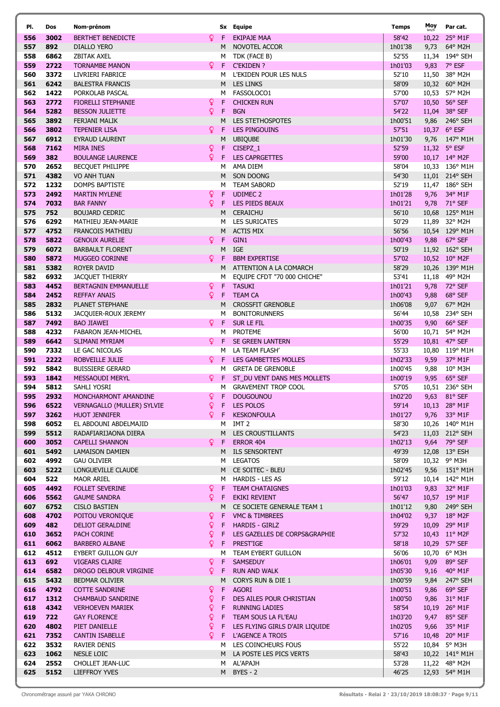| PI.        | Dos          | Nom-prénom                                          |              |                  | Sx Equipe                                      | Temps            | Moy   | Par cat.                        |
|------------|--------------|-----------------------------------------------------|--------------|------------------|------------------------------------------------|------------------|-------|---------------------------------|
| 556        | 3002         | BERTHET BENEDICTE                                   | Q.           | F.               | <b>EKIPAJE MAA</b>                             | 58'42            |       | 10,22 25° M1F                   |
| 557        | 892          | <b>DIALLO YERO</b>                                  |              | M                | NOVOTEL ACCOR                                  | 1h01'38          | 9,73  | 64° M2H                         |
| 558        | 6862         | <b>ZBITAK AXEL</b>                                  |              | м                | TDK (FACE B)                                   | 52'55            |       | 11,34 194° SEH                  |
| 559        | 2722         | <b>TORNAMBE MANON</b>                               | Q.           | F.               | <b>C'EKIDEN ?</b>                              | 1h01'03          | 9,83  | 7° ESF                          |
| 560        | 3372         | LIVRIERI FABRICE                                    |              | м                | L'EKIDEN POUR LES NULS                         | 52'10            | 11,50 | 38° M2H                         |
| 561        | 6242         | <b>BALESTRA FRANCIS</b>                             |              | M                | <b>LES LINKS</b>                               | 58'09            |       | 10,32 60° M2H                   |
| 562        | 1422         | PORKOLAB PASCAL                                     |              | м                | FASSOLOCO1                                     | 57'00            | 10,53 | 57° M2H                         |
| 563<br>564 | 2772<br>5282 | <b>FIORELLI STEPHANIE</b><br><b>BESSON JULIETTE</b> | ò<br>Q       | F<br>$\mathsf F$ | <b>CHICKEN RUN</b><br><b>BGN</b>               | 57'07<br>54'22   | 10,50 | 56° SEF<br>11,04 38° SEF        |
| 565        | 3892         | <b>FERJANI MALIK</b>                                |              | M                | <b>LES STETHOSPOTES</b>                        | 1h00'51          | 9,86  | 246° SEH                        |
| 566        | 3802         | <b>TEPENIER LISA</b>                                | Q.           | F                | <b>LES PINGOUINS</b>                           | 57'51            |       | 10,37 6° ESF                    |
| 567        | 6912         | <b>EYRAUD LAURENT</b>                               |              | M                | <b>UBIQUBE</b>                                 | 1h01'30          | 9,76  | 147° M1H                        |
| 568        | 7162         | <b>MIRA INES</b>                                    | Q.           | F                | CISEPZ_1                                       | 52'59            |       | 11,32 5° ESF                    |
| 569        | 382          | <b>BOULANGE LAURENCE</b>                            | Q.           | F                | <b>LES CAPRGETTES</b>                          | 59'00            |       | 10,17 14° M2F                   |
| 570        | 2652         | <b>BECQUET PHILIPPE</b>                             |              | M                | AMA DIEM                                       | 58'04            |       | 10,33 136° M1H                  |
| 571        | 4382         | VO ANH TUAN                                         |              | M                | SON DOONG                                      | 54'30            |       | 11,01 214° SEH                  |
| 572        | 1232         | DOMPS BAPTISTE                                      |              | м                | <b>TEAM SABORD</b>                             | 52'19            |       | 11,47 186° SEH                  |
| 573        | 2492         | <b>MARTIN MYLENE</b>                                | ò            | F                | <b>UDIMEC 2</b>                                | 1h01'28          | 9,76  | 34° M1F                         |
| 574        | 7032         | <b>BAR FANNY</b>                                    | Q.           | F                | <b>LES PIEDS BEAUX</b>                         | 1h01'21          | 9,78  | $71^{\circ}$ SEF                |
| 575        | 752          | <b>BOUJARD CEDRIC</b>                               |              | M                | <b>CERAICHU</b>                                | 56'10            |       | 10,68 125° M1H                  |
| 576        | 6292         | MATHIEU JEAN-MARIE                                  |              | M                | <b>LES SURICATES</b>                           | 50'29            |       | 11,89 32° M2H                   |
| 577        | 4752         | <b>FRANCOIS MATHIEU</b>                             |              | M                | <b>ACTIS MIX</b>                               | 56'56            |       | 10,54 129° M1H                  |
| 578        | 5822         | <b>GENOUX AURELIE</b>                               | Q.           | F                | GIN1                                           | 1h00'43          | 9,88  | 67° SEF                         |
| 579<br>580 | 6072<br>5872 | <b>BARBAULT FLORENT</b>                             |              | M                | IGE                                            | 50'19            |       | 11,92 162° SEH                  |
| 581        | 5382         | <b>MUGGEO CORINNE</b><br><b>ROYER DAVID</b>         | Q.           | F<br>M           | <b>BBM EXPERTISE</b><br>ATTENTION A LA COMARCH | 57'02<br>58'29   |       | 10,52 10° M2F<br>10,26 139° M1H |
| 582        | 6932         | <b>JACQUET THIERRY</b>                              |              | м                | EQUIPE CFDT "70 000 CHICHE"                    | 53'41            |       | 11,18 49° M2H                   |
| 583        | 4452         | BERTAGNIN EMMANUELLE                                | Q.           | $\mathsf F$      | <b>TASUKI</b>                                  | 1h01'21          | 9,78  | 72° SEF                         |
| 584        | 2452         | <b>REFFAY ANAIS</b>                                 | Q.           | F                | <b>TEAM CA</b>                                 | 1h00'43          | 9,88  | 68° SEF                         |
| 585        | 2832         | PLANET STEPHANE                                     |              | M                | <b>CROSSFIT GRENOBLE</b>                       | 1h06'08          | 9,07  | 67° M2H                         |
| 586        | 5132         | JACQUIER-ROUX JEREMY                                |              | M                | <b>BONITORUNNERS</b>                           | 56'44            | 10,58 | 234° SEH                        |
| 587        | 7492         | <b>BAO JIAWEI</b>                                   |              | 9 F              | SUR LE FIL                                     | 1h00'35          | 9,90  | 66° SEF                         |
| 588        | 4232         | FABARON JEAN-MICHEL                                 |              | м                | <b>PROTEME</b>                                 | 56'00            | 10,71 | 54° M2H                         |
| 589        | 6642         | SLIMANI MYRIAM                                      |              | $Q$ F            | SE GREEN LANTERN                               | 55'29            | 10,81 | 47° SEF                         |
| 590        | 7332         | LE GAC NICOLAS                                      |              | м                | LA TEAM FLASH'                                 | 55'33            |       | 10,80 119° M1H                  |
| 591        | 2222         | ROBVEILLE JULIE                                     | Q.           | -F               | LES GAMBETTES MOLLES                           | 1h02'33          | 9,59  | 37° M1F                         |
| 592        | 5842         | <b>BUISSIERE GERARD</b>                             |              | м                | <b>GRETA DE GRENOBLE</b>                       | 1h00'45          | 9,88  | 10° M3H                         |
| 593        | 1842         | MESSAOUDI MERYL                                     | Q.           | -F.              | ST_DU VENT DANS MES MOLLETS                    | 1h00'19          | 9,95  | 65° SEF                         |
| 594        | 5812         | SAHLI YOSRI                                         |              | м                | <b>GRAVEMENT TROP COOL</b>                     | 57'05            |       | 10,51 236° SEH                  |
| 595        | 2932         | MONCHARMONT AMANDINE                                | Q.           | F                | <b>DOUGOUNOU</b>                               | 1h02'20          |       | 9,63 81° SEF                    |
| 596<br>597 | 6522<br>3262 | VERNAGALLO (MULLER) SYLVIE<br><b>HUOT JENNIFER</b>  | Q.           | $Q$ F            | F LES POLOS<br><b>KESKONFOULA</b>              | 59'14<br>1h01'27 |       | 10,13 28° M1F<br>9,76 33° M1F   |
| 598        | 6052         | EL ABDOUNI ABDELMAJID                               |              | M                | IMT 2                                          | 58'30            |       | 10,26 140° M1H                  |
| 599        | 5512         | RADAFIARIJAONA DIERA                                |              |                  | M LES CROUS'TILLANTS                           | 54'23            |       | 11,03 212° SEH                  |
| 600        | 3052         | <b>CAPELLI SHANNON</b>                              | Q.           | F.               | <b>ERROR 404</b>                               | 1h02'13          |       | 9,64 79° SEF                    |
| 601        | 5492         | LAMAISON DAMIEN                                     |              |                  | M ILS SENSORTENT                               | 49'39            |       | 12,08 13° ESH                   |
| 602        | 4992         | <b>GAU OLIVIER</b>                                  |              |                  | M LEGATOS                                      | 58'09            |       | 10,32 9° M3H                    |
| 603        | 5222         | LONGUEVILLE CLAUDE                                  |              |                  | M CE SOITEC - BLEU                             | 1h02'45          |       | 9,56 151° M1H                   |
| 604        | 522          | MAOR ARIEL                                          |              |                  | M HARDIS - LES AS                              | 59'12            |       | 10,14 142° M1H                  |
| 605        | 4492         | <b>FOLLET SEVERINE</b>                              | Q.           |                  | F TEAM CHATAIGNES                              | 1h01'03          | 9,83  | $32^{\circ}$ M1F                |
| 606        | 5562         | <b>GAUME SANDRA</b>                                 | Q.           | F.               | EKIKI REVIENT                                  | 56'47            |       | 10,57 19° M1F                   |
| 607        | 6752         | <b>CISLO BASTIEN</b>                                |              | M                | CE SOCIETE GENERALE TEAM 1                     | 1h01'12          |       | 9,80 249° SEH                   |
| 608        | 4702         | POITOU VERONIQUE                                    | Q.           | F.               | VMC & TIMBREES                                 | 1h04'02          |       | 9,37 18° M2F                    |
| 609        | 482          | DELIOT GERALDINE                                    | Q.           | $\mathsf F$      | <b>HARDIS - GIRLZ</b>                          | 59'29            |       | 10,09 29° M1F                   |
| 610<br>611 | 3652<br>6062 | PACH CORINE<br><b>BARBERO ALBANE</b>                | <b>Q</b>     | -F.<br>$Q$ F     | LES GAZELLES DE CORPS&GRAPHIE<br>PREST'IGE     | 57'32<br>58'18   |       | 10,43 11° M2F<br>10,29 57° SEF  |
| 612        | 4512         | EYBERT GUILLON GUY                                  |              |                  | M TEAM EYBERT GUILLON                          | 56'06            |       | 10,70 6° M3H                    |
| 613        | 692          | <b>VIGEARS CLAIRE</b>                               | Q.           | -F               | <b>SAMSEDUY</b>                                | 1h06'01          | 9,09  | 89° SEF                         |
| 614        | 6582         | DROGO DELBOUR VIRGINIE                              |              | $Q$ F            | <b>RUN AND WALK</b>                            | 1h05'30          |       | 9,16 40° M1F                    |
| 615        | 5432         | BEDMAR OLIVIER                                      |              | M                | CORYS RUN & DIE 1                              | 1h00'59          | 9,84  | 247° SEH                        |
| 616        | 4792         | <b>COTTE SANDRINE</b>                               | Q.           | -F.              | <b>AGORI</b>                                   | 1h00'51          | 9,86  | 69° SEF                         |
| 617        | 1312         | <b>CHAMBAUD SANDRINE</b>                            | ò            | F.               | DES AILES POUR CHRISTIAN                       | 1h00'50          | 9,86  | $31^{\circ}$ M1F                |
| 618        | 4342         | <b>VERHOEVEN MARIEK</b>                             | Q.           | F.               | <b>RUNNING LADIES</b>                          | 58'54            |       | 10,19 26° M1F                   |
| 619        | 722          | <b>GAY FLORENCE</b>                                 | $\mathsf{Q}$ | F.               | TEAM SOUS LA FL'EAU                            | 1h03'20          |       | 9,47 85° SEF                    |
| 620        | 4802         | PIET DANIELLE                                       | Q.           | F.               | LES FLYING GIRLS D'AIR LIQUIDE                 | 1h02'05          |       | 9,66 35° M1F                    |
| 621        | 7352         | <b>CANTIN ISABELLE</b>                              | Q.           |                  | F L'AGENCE A TROIS                             | 57'16            |       | 10,48 20° M1F                   |
| 622        | 3532         | RAVIER DENIS                                        |              |                  | M LES COINCHEURS FOUS                          | 55'22            |       | 10,84 5° M3H                    |
| 623        | 1062         | NESLE LOIC                                          |              |                  | M LA POSTE LES PICS VERTS                      | 58'43            |       | 10,22 141° M1H                  |
| 624<br>625 | 2552<br>5152 | CHOLLET JEAN-LUC<br>LIEFFROY YVES                   |              | M                | AL'APAJH<br>$BYES - 2$                         | 53'28<br>46'25   |       | 11,22 48° M2H<br>12,93 54° M1H  |
|            |              |                                                     |              | M                |                                                |                  |       |                                 |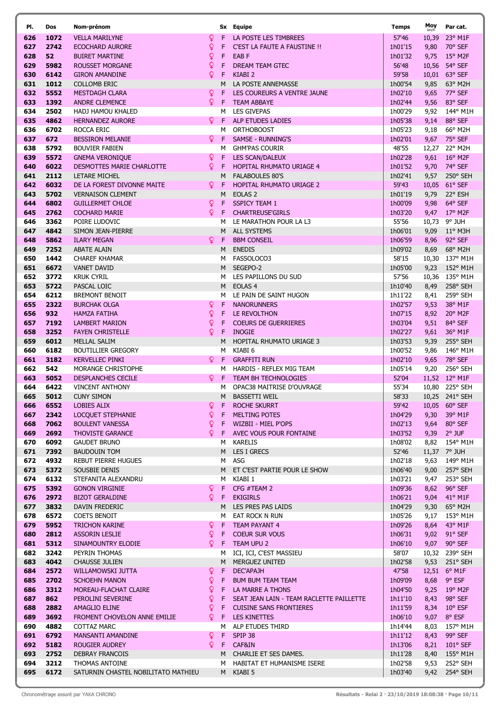| PI.        | Dos          | Nom-prénom                                            |          |         | Sx Equipe                                         | Temps              | Moy          | Par cat.                          |
|------------|--------------|-------------------------------------------------------|----------|---------|---------------------------------------------------|--------------------|--------------|-----------------------------------|
| 626        | 1072         | <b>VELLA MARILYNE</b>                                 | Q        |         | LA POSTE LES TIMBREES                             | 57'46              | 10,39        | 23° M1F                           |
| 627        | 2742         | <b>ECOCHARD AURORE</b>                                | ò        | F       | C'EST LA FAUTE A FAUSTINE !!                      | 1h01'15            | 9,80         | 70° SEF                           |
| 628        | 52           | <b>BUIRET MARTINE</b>                                 | ò        | F       | EAB <sub>F</sub>                                  | 1h01'32            | 9,75         | $15^{\circ}$ M2F                  |
| 629        | 5982         | <b>ROUSSET MORGANE</b>                                | ò        | F       | DREAM TEAM GTEC                                   | 56'48              | 10,56        | 54° SEF                           |
| 630        | 6142         | <b>GIRON AMANDINE</b>                                 | Q        | F       | KIABI <sub>2</sub>                                | 59'58              | 10,01        | 63° SEF                           |
| 631        | 1012         | <b>COLLOMB ERIC</b>                                   |          | M       | LA POSTE ANNEMASSE                                | 1h00'54            | 9,85         | 63° M2H                           |
| 632<br>633 | 5552<br>1392 | <b>MESTDAGH CLARA</b><br><b>ANDRE CLEMENCE</b>        | Q.<br>Q. | F<br>F  | LES COUREURS A VENTRE JAUNE<br><b>TEAM ABBAYE</b> | 1h02'10<br>1h02'44 | 9,65<br>9,56 | 77° SEF<br>83° SEF                |
| 634        | 2502         | HADJ HAMOU KHALED                                     |          | м       | <b>LES GIVEPAS</b>                                | 1h00'29            | 9,92         | 144° M1H                          |
| 635        | 4862         | <b>HERNANDEZ AURORE</b>                               | Q.       | F       | ALP ETUDES LADIES                                 | 1h05'38            | 9,14         | 88° SEF                           |
| 636        | 6702         | ROCCA ERIC                                            |          | М       | <b>ORTHOBOOST</b>                                 | 1h05'23            | 9,18         | 66° M2H                           |
| 637        | 672          | <b>BESSIRON MELANIE</b>                               | Q.       | F       | <b>SAMSE - RUNNING'S</b>                          | 1h02'01            | 9,67         | 75° SEF                           |
| 638        | 5792         | <b>BOUVIER FABIEN</b>                                 |          | м       | <b>GHM'PAS COURIR</b>                             | 48'55              | 12,27        | 22° M2H                           |
| 639        | 5572         | <b>GNEMA VERONIQUE</b>                                | <u>Q</u> | F       | <b>LES SCAN/DALEUX</b>                            | 1h02'28            | 9,61         | $16^{\circ}$ M2F                  |
| 640        | 6022         | DESMOTTES MARIE CHARLOTTE                             | ò        | F       | <b>HOPITAL RHUMATO URIAGE 4</b>                   | 1h01'52            | 9,70         | 74° SEF                           |
| 641        | 2112         | LETARE MICHEL                                         |          | M       | <b>FALABOULES 80'S</b>                            | 1h02'41            | 9,57         | 250° SEH                          |
| 642        | 6032         | DE LA FOREST DIVONNE MAITE                            | Q.       | F       | HOPITAL RHUMATO URIAGE 2                          | 59'43              | 10,05        | 61° SEF                           |
| 643<br>644 | 5702<br>6802 | <b>VERNAISON CLEMENT</b><br><b>GUILLERMET CHLOE</b>   |          | M       | EOLAS <sub>2</sub><br><b>SSPICY TEAM 1</b>        | 1h01'19<br>1h00'09 | 9,79         | 22° ESH<br>64° SEF                |
| 645        | 2762         | <b>COCHARD MARIE</b>                                  | Q.<br>Q. | F<br>F  | <b>CHARTREUSE'GIRLS</b>                           | 1h03'20            | 9,98<br>9,47 | 17° M2F                           |
| 646        | 3362         | POIRE LUDOVIC                                         |          | м       | LE MARATHON POUR LA L3                            | 55'56              | 10,73        | 9° JUH                            |
| 647        | 4842         | SIMON JEAN-PIERRE                                     |          | M       | <b>ALL SYSTEMS</b>                                | 1h06'01            | 9,09         | $11^{\circ}$ M3H                  |
| 648        | 5862         | <b>ILARY MEGAN</b>                                    | ¥        | F       | <b>BBM CONSEIL</b>                                | 1h06'59            | 8,96         | 92° SEF                           |
| 649        | 7252         | <b>ABATE ALAIN</b>                                    |          | M       | <b>ENEDIS</b>                                     | 1h09'02            | 8,69         | 68° M2H                           |
| 650        | 1442         | <b>CHAREF KHAMAR</b>                                  |          | M       | FASSOLOCO3                                        | 58'15              | 10,30        | 137° M1H                          |
| 651        | 6672         | <b>VANET DAVID</b>                                    |          | M       | SEGEPO-2                                          | 1h05'00            | 9,23         | 152° M1H                          |
| 652        | 3772         | <b>KRUK CYRIL</b>                                     |          | м       | LES PAPILLONS DU SUD                              | 57'56              |              | 10,36 135° M1H                    |
| 653        | 5722<br>6212 | PASCAL LOIC                                           |          | M<br>м  | EOLAS <sub>4</sub>                                | 1h10'40            | 8,49         | 258° SEH                          |
| 654<br>655 | 2322         | <b>BREMONT BENOIT</b><br><b>BURCHAK OLGA</b>          | ò        | F       | LE PAIN DE SAINT HUGON<br><b>NANORUNNERS</b>      | 1h11'22<br>1h02'57 | 8,41<br>9,53 | 259° SEH<br>38° M1F               |
| 656        | 932          | <b>HAMZA FATIHA</b>                                   | ò        | F       | LE REVOLTHON                                      | 1h07'15            | 8,92         | 20° M2F                           |
| 657        | 7192         | <b>LAMBERT MARION</b>                                 | ò        | F       | <b>COEURS DE GUERRIERES</b>                       | 1h03'04            | 9,51         | 84° SEF                           |
| 658        | 3252         | <b>FAYEN CHRISTELLE</b>                               | ò        | F       | <b>INOGIE</b>                                     | 1h02'27            | 9,61         | 36° M1F                           |
| 659        | 6012         | <b>MELLAL SALIM</b>                                   |          | M       | HOPITAL RHUMATO URIAGE 3                          | 1h03'53            | 9,39         | 255° SEH                          |
| 660        | 6182         | <b>BOUTILLIER GREGORY</b>                             |          | м       | KIABI 6                                           | 1h00'52            | 9,86         | 146° M1H                          |
| 661        | 3182         | <b>KERVELLEC PINKI</b>                                | Q.       | F       | <b>GRAFFITI RUN</b>                               | 1h02'10            | 9,65         | 78° SEF                           |
| 662        | 542          | MORANGE CHRISTOPHE                                    |          | м       | HARDIS - REFLEX MIG TEAM                          | 1h05'14            | 9,20         | 256° SEH                          |
| 663        | 5052         | <b>DESPLANCHES CECILE</b>                             | Q.       | F       | <b>TEAM BH TECHNOLOGIES</b>                       | 52'04              |              | 11,52 12° M1F                     |
| 664<br>665 | 6422<br>5012 | <b>VINCENT ANTHONY</b><br><b>CUNY SIMON</b>           |          | м<br>M  | OPAC38 MAITRISE D'OUVRAGE<br><b>BASSETTI WEIL</b> | 55'34<br>58'33     |              | 10,80 225° SEH<br>10,25 241° SEH  |
| 666        | 6552         | LOBIES ALIX                                           | Q        | F.      | ROCHE SKURRT                                      | 59'42              |              | 10,05 60° SEF                     |
| 667        | 2342         | LOCOUET STEPHANIE                                     | ò        | F       | MELTING POTES                                     | 1h04'29            | 9,30         | $39^\circ$ M1F                    |
| 668        | 7062         | <b>BOULENT VANESSA</b>                                | Q        | F.      | WIZBII - MIEL P'OPS                               | 1h02'13            | 9,64         | 80° SEF                           |
| 669        | 2692         | <b>THOVISTE GARANCE</b>                               | Q.       |         | F AVEC VOUS POUR FONTAINE                         | 1h03'52            |              | 9,39 2° JUF                       |
| 670        | 6092         | <b>GAUDET BRUNO</b>                                   |          | M       | <b>KARELIS</b>                                    | 1h08'02            |              | 8,82 154° M1H                     |
| 671        | 7392         | <b>BAUDOUIN TOM</b>                                   |          |         | M LES I GRECS                                     | 52'46              |              | 11,37 7° JUH                      |
| 672        | 4932         | <b>REBUT PIERRE HUGUES</b>                            |          | M       | ASG                                               | 1h02'18            | 9,63         | 149° M1H                          |
| 673        | 5372         | SOUSBIE DENIS                                         |          | M       | ET C'EST PARTIE POUR LE SHOW                      | 1h06'40            | 9,00         | 257° SEH                          |
| 674<br>675 | 6132<br>5392 | STEFANITA ALEXANDRU<br><b>GONON VIRGINIE</b>          | <u>Q</u> | M<br>F. | KIABI 1<br>CFG #TEAM 2                            | 1h03'21<br>1h09'36 | 9,47<br>8,62 | 253° SEH<br>96° SEF               |
| 676        | 2972         | <b>BIZOT GERALDINE</b>                                | Q.       | F.      | <b>EKIGIRLS</b>                                   | 1h06'21            | 9,04         | 41° M1F                           |
| 677        | 3832         | DAVIN FREDERIC                                        |          |         | M LES PRES PAS LAIDS                              | 1h04'29            | 9,30         | 65° M2H                           |
| 678        | 6572         | <b>COETS BENOIT</b>                                   |          | M       | EAT ROCK N RUN                                    | 1h05'26            | 9,17         | 153° M1H                          |
| 679        | 5952         | <b>TRICHON KARINE</b>                                 | Q.       | F.      | <b>TEAM PAYANT 4</b>                              | 1h09'26            | 8,64         | 43° M1F                           |
| 680        | 2812         | <b>ASSORIN LESLIE</b>                                 | ò        | F.      | <b>COEUR SUR VOUS</b>                             | 1h06'31            | 9,02         | 91° SEF                           |
| 681        | 5312         | SINAMOUNTRY ELODIE                                    | Q.       | F.      | <b>TEAM UPU 2</b>                                 | 1h06'10            | 9,07         | 90° SEF                           |
| 682        | 3242         | PEYRIN THOMAS                                         |          | м       | ICI, ICI, C'EST MASSIEU                           | 58'07              |              | 10,32 239° SEH                    |
| 683<br>684 | 4042<br>2572 | <b>CHAUSSE JULIEN</b><br>WILLAMOWSKI JUTTA            | Q.       | M<br>F  | MERGUEZ UNITED<br>DEC'APAJH                       | 1h02'58<br>47'58   | 9,53         | $251^{\circ}$ SEH<br>12,51 6° M1F |
| 685        | 2702         | <b>SCHOEHN MANON</b>                                  | ò        | F       | <b>BUM BUM TEAM TEAM</b>                          | 1h09'09            | 8,68         | 9° ESF                            |
| 686        | 3312         | MOREAU-FLACHAT CLAIRE                                 | ò        | F.      | LA MARRE A THONS                                  | 1h04'50            | 9,25         | $19^{\circ}$ M2F                  |
| 687        | 862          | PEROLINI SEVERINE                                     | ò        | F.      | SEAT JEAN LAIN - TEAM RACLETTE PAILLETTE          | 1h11'10            | 8,43         | 98° SEF                           |
| 688        | 2882         | AMAGLIO ELINE                                         | ¥        | F.      | <b>CUISINE SANS FRONTIERES</b>                    | 1h11'59            | 8,34         | $10^{\circ}$ ESF                  |
| 689        | 3692         | FROMENT CHOVELON ANNE EMILIE                          | Q.       | F       | LES KINETTES                                      | 1h06'10            | 9,07         | 8° ESF                            |
| 690        | 4882         | <b>COTTAZ MARC</b>                                    |          | м       | ALP ETUDES THIRD                                  | 1h14'44            | 8,03         | 157° M1H                          |
| 691        | 6792         | MANSANTI AMANDINE                                     | Q.       | F.      | SPIP 38                                           | 1h11'12            | 8,43         | 99° SEF                           |
| 692        | 5182         | ROUGIER AUDREY                                        | Q.       | F.      | CAF&IN                                            | 1h13'06            | 8,21         | $101^{\circ}$ SEF                 |
| 693        | 2752         | <b>DEBRAY FRANCOIS</b>                                |          |         | M CHARLIE ET SES DAMES.                           | 1h11'28            | 8,40         | 155° M1H                          |
| 694<br>695 | 3212<br>6172 | THOMAS ANTOINE<br>SATURNIN CHASTEL NOBILITATO MATHIEU |          | M       | HABITAT ET HUMANISME ISERE<br>M KIABI 5           | 1h02'58<br>1h03'40 | 9,53         | 252° SEH<br>9,42 254° SEH         |
|            |              |                                                       |          |         |                                                   |                    |              |                                   |